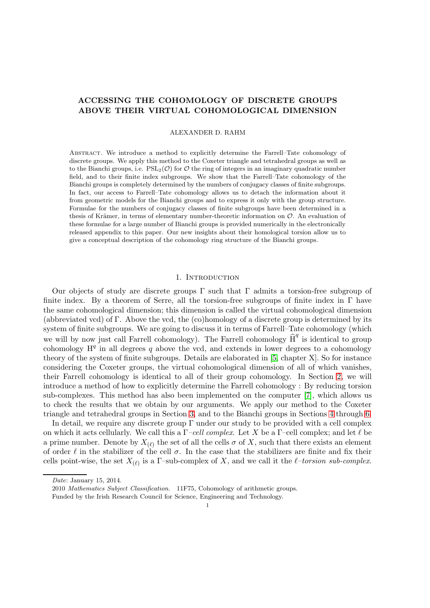# ACCESSING THE COHOMOLOGY OF DISCRETE GROUPS ABOVE THEIR VIRTUAL COHOMOLOGICAL DIMENSION

### ALEXANDER D. RAHM

Abstract. We introduce a method to explicitly determine the Farrell–Tate cohomology of discrete groups. We apply this method to the Coxeter triangle and tetrahedral groups as well as to the Bianchi groups, i.e.  $PSL_2(\mathcal{O})$  for  $\mathcal O$  the ring of integers in an imaginary quadratic number field, and to their finite index subgroups. We show that the Farrell–Tate cohomology of the Bianchi groups is completely determined by the numbers of conjugacy classes of finite subgroups. In fact, our access to Farrell–Tate cohomology allows us to detach the information about it from geometric models for the Bianchi groups and to express it only with the group structure. Formulae for the numbers of conjugacy classes of finite subgroups have been determined in a thesis of Krämer, in terms of elementary number-theoretic information on  $\mathcal{O}$ . An evaluation of these formulae for a large number of Bianchi groups is provided numerically in the electronically released appendix to this paper. Our new insights about their homological torsion allow us to give a conceptual description of the cohomology ring structure of the Bianchi groups.

### 1. INTRODUCTION

Our objects of study are discrete groups  $\Gamma$  such that  $\Gamma$  admits a torsion-free subgroup of finite index. By a theorem of Serre, all the torsion-free subgroups of finite index in Γ have the same cohomological dimension; this dimension is called the virtual cohomological dimension (abbreviated vcd) of Γ. Above the vcd, the (co)homology of a discrete group is determined by its system of finite subgroups. We are going to discuss it in terms of Farrell–Tate cohomology (which we will by now just call Farrell cohomology). The Farrell cohomology  $\widehat{H}^q$  is identical to group cohomology  $H<sup>q</sup>$  in all degrees q above the vcd, and extends in lower degrees to a cohomology theory of the system of finite subgroups. Details are elaborated in [\[5,](#page-18-0) chapter X]. So for instance considering the Coxeter groups, the virtual cohomological dimension of all of which vanishes, their Farrell cohomology is identical to all of their group cohomology. In Section [2,](#page-3-0) we will introduce a method of how to explicitly determine the Farrell cohomology : By reducing torsion sub-complexes. This method has also been implemented on the computer [\[7\]](#page-18-1), which allows us to check the results that we obtain by our arguments. We apply our method to the Coxeter triangle and tetrahedral groups in Section [3,](#page-6-0) and to the Bianchi groups in Sections [4](#page-12-0) through [6.](#page-16-0)

In detail, we require any discrete group Γ under our study to be provided with a cell complex on which it acts cellularly. We call this a  $\Gamma$ -cell complex. Let X be a  $\Gamma$ -cell complex; and let  $\ell$  be a prime number. Denote by  $X_{(\ell)}$  the set of all the cells  $\sigma$  of X, such that there exists an element of order  $\ell$  in the stabilizer of the cell  $\sigma$ . In the case that the stabilizers are finite and fix their cells point-wise, the set  $X_{(\ell)}$  is a  $\Gamma$ -sub-complex of X, and we call it the  $\ell$ -torsion sub-complex.

Date: January 15, 2014.

<sup>2010</sup> Mathematics Subject Classification. 11F75, Cohomology of arithmetic groups.

Funded by the Irish Research Council for Science, Engineering and Technology.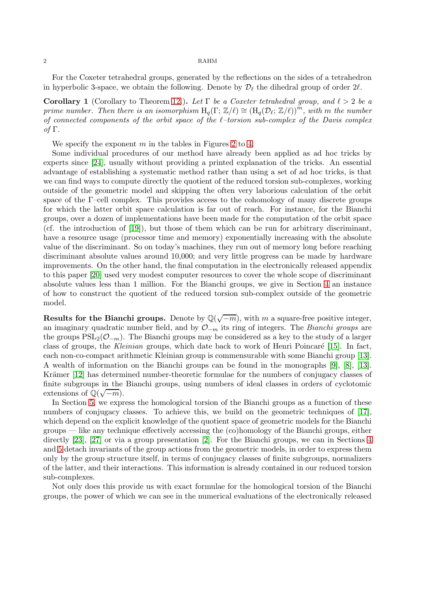For the Coxeter tetrahedral groups, generated by the reflections on the sides of a tetrahedron in hyperbolic 3-space, we obtain the following. Denote by  $\mathcal{D}_{\ell}$  the dihedral group of order  $2\ell$ .

Corollary 1 (Corollary to Theorem [12.](#page-7-0)). Let  $\Gamma$  be a Coxeter tetrahedral group, and  $\ell > 2$  be a prime number. Then there is an isomorphism  $H_q(\Gamma;\mathbb{Z}/\ell) \cong (H_q(\mathcal{D}_\ell;\mathbb{Z}/\ell))^m$ , with m the number of connected components of the orbit space of the  $l$ -torsion sub-complex of the Davis complex of Γ.

We specify the exponent  $m$  in the tables in Figures [2](#page-9-0) to [4.](#page-11-0)

Some individual procedures of our method have already been applied as ad hoc tricks by experts since [\[24\]](#page-18-2), usually without providing a printed explanation of the tricks. An essential advantage of establishing a systematic method rather than using a set of ad hoc tricks, is that we can find ways to compute directly the quotient of the reduced torsion sub-complexes, working outside of the geometric model and skipping the often very laborious calculation of the orbit space of the  $\Gamma$ –cell complex. This provides access to the cohomology of many discrete groups for which the latter orbit space calculation is far out of reach. For instance, for the Bianchi groups, over a dozen of implementations have been made for the computation of the orbit space (cf. the introduction of [\[19\]](#page-18-3)), but those of them which can be run for arbitrary discriminant, have a resource usage (processor time and memory) exponentially increasing with the absolute value of the discriminant. So on today's machines, they run out of memory long before reaching discriminant absolute values around 10,000; and very little progress can be made by hardware improvements. On the other hand, the final computation in the electronically released appendix to this paper [\[20\]](#page-18-4) used very modest computer resources to cover the whole scope of discriminant absolute values less than 1 million. For the Bianchi groups, we give in Section [4](#page-12-0) an instance of how to construct the quotient of the reduced torsion sub-complex outside of the geometric model.

Results for the Bianchi groups. Denote by  $\mathbb{Q}(\sqrt{-m})$ , with m a square-free positive integer, an imaginary quadratic number field, and by  $\mathcal{O}_{-m}$  its ring of integers. The Bianchi groups are the groups  $PSL_2(\mathcal{O}_{-m})$ . The Bianchi groups may be considered as a key to the study of a larger class of groups, the Kleinian groups, which date back to work of Henri Poincaré [\[15\]](#page-18-5). In fact, each non-co-compact arithmetic Kleinian group is commensurable with some Bianchi group [\[13\]](#page-18-6). A wealth of information on the Bianchi groups can be found in the monographs [\[9\]](#page-18-7), [\[8\]](#page-18-8), [\[13\]](#page-18-6). Krämer [\[12\]](#page-18-9) has determined number-theoretic formulae for the numbers of conjugacy classes of finite subgroups in the Bianchi groups, using numbers of ideal classes in orders of cyclotomic extensions of  $\mathbb{Q}(\sqrt{-m})$ .

In Section [5,](#page-15-0) we express the homological torsion of the Bianchi groups as a function of these numbers of conjugacy classes. To achieve this, we build on the geometric techniques of [\[17\]](#page-18-10), which depend on the explicit knowledge of the quotient space of geometric models for the Bianchi groups — like any technique effectively accessing the (co)homology of the Bianchi groups, either directly [\[23\]](#page-18-11), [\[27\]](#page-19-0) or via a group presentation [\[2\]](#page-18-12). For the Bianchi groups, we can in Sections [4](#page-12-0) and [5](#page-15-0) detach invariants of the group actions from the geometric models, in order to express them only by the group structure itself, in terms of conjugacy classes of finite subgroups, normalizers of the latter, and their interactions. This information is already contained in our reduced torsion sub-complexes.

Not only does this provide us with exact formulae for the homological torsion of the Bianchi groups, the power of which we can see in the numerical evaluations of the electronically released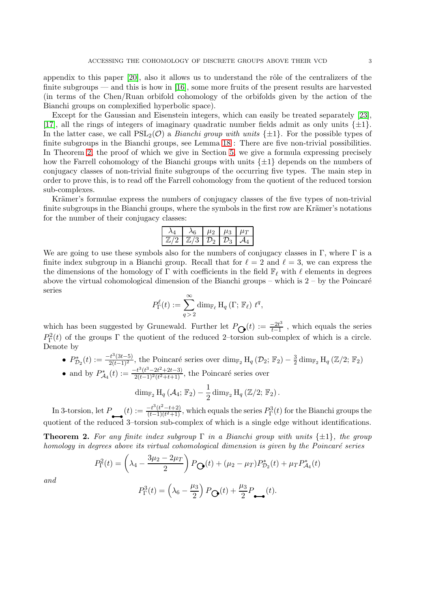appendix to this paper  $[20]$ , also it allows us to understand the rôle of the centralizers of the finite subgroups — and this is how in [\[16\]](#page-18-13), some more fruits of the present results are harvested (in terms of the Chen/Ruan orbifold cohomology of the orbifolds given by the action of the Bianchi groups on complexified hyperbolic space).

Except for the Gaussian and Eisenstein integers, which can easily be treated separately [\[23\]](#page-18-11), [\[17\]](#page-18-10), all the rings of integers of imaginary quadratic number fields admit as only units  $\{\pm 1\}$ . In the latter case, we call  $PSL_2(\mathcal{O})$  a *Bianchi group with units*  $\{\pm 1\}$ . For the possible types of finite subgroups in the Bianchi groups, see Lemma [18](#page-13-0) : There are five non-trivial possibilities. In Theorem [2,](#page-2-0) the proof of which we give in Section [5,](#page-15-0) we give a formula expressing precisely how the Farrell cohomology of the Bianchi groups with units  $\{\pm 1\}$  depends on the numbers of conjugacy classes of non-trivial finite subgroups of the occurring five types. The main step in order to prove this, is to read off the Farrell cohomology from the quotient of the reduced torsion sub-complexes.

Krämer's formulae express the numbers of conjugacy classes of the five types of non-trivial finite subgroups in the Bianchi groups, where the symbols in the first row are Krämer's notations for the number of their conjugacy classes:

|  |                |                 | Ŀэ  |  |
|--|----------------|-----------------|-----|--|
|  | $\mathbb{Z}/3$ | 12 <sub>2</sub> | 725 |  |

We are going to use these symbols also for the numbers of conjugacy classes in  $\Gamma$ , where  $\Gamma$  is a finite index subgroup in a Bianchi group. Recall that for  $\ell = 2$  and  $\ell = 3$ , we can express the the dimensions of the homology of Γ with coefficients in the field  $\mathbb{F}_{\ell}$  with  $\ell$  elements in degrees above the virtual cohomological dimension of the Bianchi groups – which is  $2 -$  by the Poincaré series

$$
P_{\Gamma}^{\ell}(t) := \sum_{q>2}^{\infty} \dim_{\mathbb{F}_{\ell}} H_q(\Gamma; \, \mathbb{F}_{\ell}) \, t^q,
$$

which has been suggested by Grunewald. Further let  $P_{\bigodot}(t) := \frac{-2t^3}{t-1}$  $\frac{-2t^{\circ}}{t-1}$ , which equals the series  $P_{\Gamma}^2(t)$  of the groups  $\Gamma$  the quotient of the reduced 2-torsion sub-complex of which is a circle. Denote by

- $P_{\mathcal{D}_2}^*(t) := \frac{-t^3(3t-5)}{2(t-1)^2}$ , the Poincaré series over  $\dim_{\mathbb{F}_2} H_q(\mathcal{D}_2; \mathbb{F}_2) \frac{3}{2} \dim_{\mathbb{F}_2} H_q(\mathbb{Z}/2; \mathbb{F}_2)$
- and by  $P_{\mathcal{A}_4}^*(t) := \frac{-t^3(t^3 2t^2 + 2t 3)}{2(t-1)^2(t^2 + t + 1)}$  $\frac{2(t-2t+2t-3)}{2(t-1)^2(t^2+t+1)}$ , the Poincaré series over

$$
\dim_{\mathbb{F}_2} H_q \left( \mathcal{A}_4; \, \mathbb{F}_2 \right) - \frac{1}{2} \dim_{\mathbb{F}_2} H_q \left( \mathbb{Z}/2; \, \mathbb{F}_2 \right).
$$

In 3-torsion, let  $P_{\bullet}(t) := \frac{-t^3(t^2-t+2)}{(t-1)(t^2+1)}$  $\frac{(-t^3(t^2-t+2)}{(t-1)(t^2+1)}$ , which equals the series  $P_{\Gamma}^3(t)$  for the Bianchi groups the quotient of the reduced 3–torsion sub-complex of which is a single edge without identifications.

<span id="page-2-0"></span>**Theorem 2.** For any finite index subgroup  $\Gamma$  in a Bianchi group with units  $\{\pm 1\}$ , the group homology in degrees above its virtual cohomological dimension is given by the Poincaré series

$$
P_{\Gamma}^{2}(t) = \left(\lambda_{4} - \frac{3\mu_{2} - 2\mu_{T}}{2}\right) P_{\mathbf{Q}}(t) + (\mu_{2} - \mu_{T}) P_{\mathcal{D}_{2}}^{*}(t) + \mu_{T} P_{\mathcal{A}_{4}}^{*}(t)
$$

and

$$
P_{\Gamma}^{3}(t) = \left(\lambda_6 - \frac{\mu_3}{2}\right) P_{\mathbf{Q}}(t) + \frac{\mu_3}{2} P_{\bullet \bullet}(t).
$$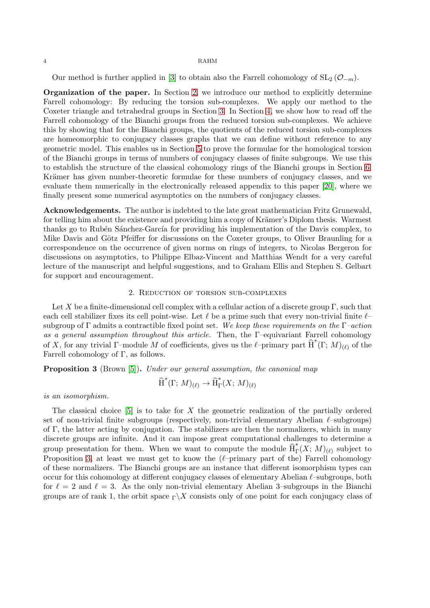Our method is further applied in [\[3\]](#page-18-14) to obtain also the Farrell cohomology of  $SL_2(\mathcal{O}_{-m})$ .

Organization of the paper. In Section [2,](#page-3-0) we introduce our method to explicitly determine Farrell cohomology: By reducing the torsion sub-complexes. We apply our method to the Coxeter triangle and tetrahedral groups in Section [3.](#page-6-0) In Section [4,](#page-12-0) we show how to read off the Farrell cohomology of the Bianchi groups from the reduced torsion sub-complexes. We achieve this by showing that for the Bianchi groups, the quotients of the reduced torsion sub-complexes are homeomorphic to conjugacy classes graphs that we can define without reference to any geometric model. This enables us in Section [5](#page-15-0) to prove the formulae for the homological torsion of the Bianchi groups in terms of numbers of conjugacy classes of finite subgroups. We use this to establish the structure of the classical cohomology rings of the Bianchi groups in Section [6.](#page-16-0) Krämer has given number-theoretic formulae for these numbers of conjugacy classes, and we evaluate them numerically in the electronically released appendix to this paper [\[20\]](#page-18-4), where we finally present some numerical asymptotics on the numbers of conjugacy classes.

Acknowledgements. The author is indebted to the late great mathematician Fritz Grunewald, for telling him about the existence and providing him a copy of Krämer's Diplom thesis. Warmest thanks go to Rubén Sánchez-García for providing his implementation of the Davis complex, to Mike Davis and Götz Pfeiffer for discussions on the Coxeter groups, to Oliver Braunling for a correspondence on the occurrence of given norms on rings of integers, to Nicolas Bergeron for discussions on asymptotics, to Philippe Elbaz-Vincent and Matthias Wendt for a very careful lecture of the manuscript and helpful suggestions, and to Graham Ellis and Stephen S. Gelbart for support and encouragement.

### 2. Reduction of torsion sub-complexes

<span id="page-3-0"></span>Let X be a finite-dimensional cell complex with a cellular action of a discrete group Γ, such that each cell stabilizer fixes its cell point-wise. Let  $\ell$  be a prime such that every non-trivial finite  $\ell$ subgroup of Γ admits a contractible fixed point set. We keep these requirements on the  $\Gamma$ -action as a general assumption throughout this article. Then, the Γ–equivariant Farrell cohomology of X, for any trivial  $\Gamma$ -module M of coefficients, gives us the  $\ell$ -primary part  $\widehat{H}^*(\Gamma; M)_{(\ell)}$  of the Farrell cohomology of  $\Gamma$ , as follows.

<span id="page-3-1"></span>Proposition 3 (Brown [\[5\]](#page-18-0)). Under our general assumption, the canonical map

$$
\widehat{\operatorname{H}}^*(\Gamma; \, M)_{(\ell)} \to \widehat{\operatorname{H}}^*_{\Gamma}(X; \, M)_{(\ell)}
$$

is an isomorphism.

The classical choice  $[5]$  is to take for X the geometric realization of the partially ordered set of non-trivial finite subgroups (respectively, non-trivial elementary Abelian  $\ell$ –subgroups) of Γ, the latter acting by conjugation. The stabilizers are then the normalizers, which in many discrete groups are infinite. And it can impose great computational challenges to determine a group presentation for them. When we want to compute the module  $\widehat{H}^*_{\Gamma}(X; M)_{(\ell)}$  subject to Proposition [3,](#page-3-1) at least we must get to know the  $(\ell$ -primary part of the) Farrell cohomology of these normalizers. The Bianchi groups are an instance that different isomorphism types can occur for this cohomology at different conjugacy classes of elementary Abelian ℓ–subgroups, both for  $\ell = 2$  and  $\ell = 3$ . As the only non-trivial elementary Abelian 3–subgroups in the Bianchi groups are of rank 1, the orbit space  $\Gamma \backslash X$  consists only of one point for each conjugacy class of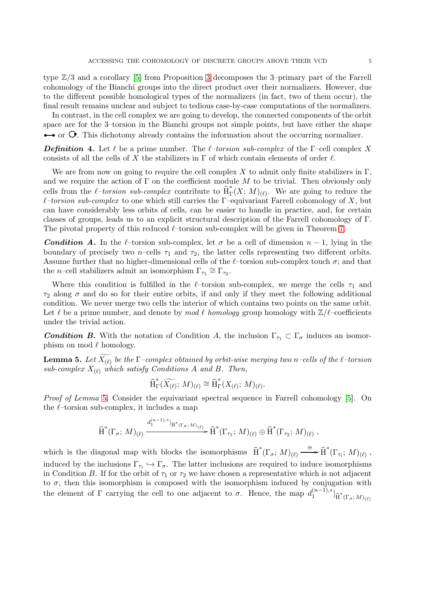type Z/3 and a corollary [\[5\]](#page-18-0) from Proposition [3](#page-3-1) decomposes the 3–primary part of the Farrell cohomology of the Bianchi groups into the direct product over their normalizers. However, due to the different possible homological types of the normalizers (in fact, two of them occur), the final result remains unclear and subject to tedious case-by-case computations of the normalizers.

In contrast, in the cell complex we are going to develop, the connected components of the orbit space are for the 3–torsion in the Bianchi groups not simple points, but have either the shape  $\rightarrow$  or  $\bullet$ . This dichotomy already contains the information about the occurring normalizer.

**Definition 4.** Let  $\ell$  be a prime number. The  $\ell$ -torsion sub-complex of the Γ–cell complex X consists of all the cells of X the stabilizers in  $\Gamma$  of which contain elements of order  $\ell$ .

We are from now on going to require the cell complex X to admit only finite stabilizers in  $\Gamma$ , and we require the action of  $\Gamma$  on the coefficient module M to be trivial. Then obviously only cells from the  $\ell$ -torsion sub-complex contribute to  $\hat{H}_{\Gamma}^*$  $\int_{\Gamma} (X; M)_{(\ell)}$ . We are going to reduce the  $\ell$ -torsion sub-complex to one which still carries the Γ-equivariant Farrell cohomology of X, but can have considerably less orbits of cells, can be easier to handle in practice, and, for certain classes of groups, leads us to an explicit structural description of the Farrell cohomology of Γ. The pivotal property of this reduced  $\ell$ –torsion sub-complex will be given in Theorem [7.](#page-5-0)

**Condition A.** In the  $\ell$ –torsion sub-complex, let  $\sigma$  be a cell of dimension  $n-1$ , lying in the boundary of precisely two n–cells  $\tau_1$  and  $\tau_2$ , the latter cells representing two different orbits. Assume further that no higher-dimensional cells of the  $\ell$ -torsion sub-complex touch  $\sigma$ ; and that the *n*-cell stabilizers admit an isomorphism  $\Gamma_{\tau_1} \cong \Gamma_{\tau_2}$ .

Where this condition is fulfilled in the  $\ell$ -torsion sub-complex, we merge the cells  $\tau_1$  and  $\tau_2$  along  $\sigma$  and do so for their entire orbits, if and only if they meet the following additional condition. We never merge two cells the interior of which contains two points on the same orbit. Let  $\ell$  be a prime number, and denote by mod  $\ell$  homology group homology with  $\mathbb{Z}/\ell$ –coefficients under the trivial action.

**Condition B.** With the notation of Condition A, the inclusion  $\Gamma_{\tau_1} \subset \Gamma_{\sigma}$  induces an isomorphism on mod  $\ell$  homology.

<span id="page-4-0"></span>**Lemma 5.** Let  $\widetilde{X_{(\ell)}}$  be the  $\Gamma$ -complex obtained by orbit-wise merging two n–cells of the  $\ell$ -torsion sub-complex  $X_{(\ell)}$  which satisfy Conditions A and B. Then,

$$
\widehat{\text{H}}^*_{\Gamma}(\widetilde{X_{(\ell)}}; M)_{(\ell)} \cong \widehat{\text{H}}^*_{\Gamma}(X_{(\ell)}; M)_{(\ell)}.
$$

Proof of Lemma [5](#page-4-0). Consider the equivariant spectral sequence in Farrell cohomology [\[5\]](#page-18-0). On the  $\ell$ -torsion sub-complex, it includes a map

(n−1),∗

$$
\widehat{H}^*(\Gamma_{\sigma}; M)_{(\ell)} \xrightarrow{d_1^{(n-1),*}|\widehat{H}^*(\Gamma_{\sigma}; M)_{(\ell)}} \widehat{H}^*(\Gamma_{\tau_1}; M)_{(\ell)} \oplus \widehat{H}^*(\Gamma_{\tau_2}; M)_{(\ell)},
$$

which is the diagonal map with blocks the isomorphisms  $\widehat{H}^*(\Gamma_{\sigma}; M)_{(\ell)} \xrightarrow{\cong} \widehat{H}^*(\Gamma_{\tau_i}; M)_{(\ell)}$ , induced by the inclusions  $\Gamma_{\tau_i} \hookrightarrow \Gamma_{\sigma}$ . The latter inclusions are required to induce isomorphisms in Condition B. If for the orbit of  $\tau_1$  or  $\tau_2$  we have chosen a representative which is not adjacent to  $\sigma$ , then this isomorphism is composed with the isomorphism induced by conjugation with the element of  $\Gamma$  carrying the cell to one adjacent to  $\sigma$ . Hence, the map  $d_1^{(n-1),*}$  $\left.\hat{\mathrm{H}}^{*}\left(\Gamma_{\sigma};M\right)_{(\ell)}\right|$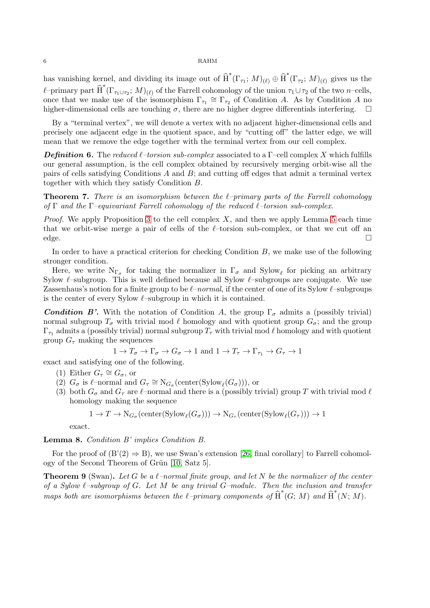has vanishing kernel, and dividing its image out of  $\widehat{H}^*(\Gamma_{\tau_1}; M)_{(\ell)} \oplus \widehat{H}^*(\Gamma_{\tau_2}; M)_{(\ell)}$  gives us the  $\ell$ -primary part  $\widehat{H}^*(\Gamma_{\tau_1\cup\tau_2}; M)_{(\ell)}$  of the Farrell cohomology of the union  $\tau_1\cup\tau_2$  of the two n–cells, once that we make use of the isomorphism  $\Gamma_{\tau_1} \cong \Gamma_{\tau_2}$  of Condition A. As by Condition A no higher-dimensional cells are touching  $\sigma$ , there are no higher degree differentials interfering.  $\Box$ 

By a "terminal vertex", we will denote a vertex with no adjacent higher-dimensional cells and precisely one adjacent edge in the quotient space, and by "cutting off" the latter edge, we will mean that we remove the edge together with the terminal vertex from our cell complex.

**Definition 6.** The reduced  $\ell$ –torsion sub-complex associated to a  $\Gamma$ –cell complex X which fulfills our general assumption, is the cell complex obtained by recursively merging orbit-wise all the pairs of cells satisfying Conditions  $A$  and  $B$ ; and cutting off edges that admit a terminal vertex together with which they satisfy Condition B.

<span id="page-5-0"></span>**Theorem 7.** There is an isomorphism between the  $\ell$ -primary parts of the Farrell cohomology of  $\Gamma$  and the  $\Gamma$ –equivariant Farrell cohomology of the reduced  $\ell$ –torsion sub-complex.

*Proof.* We apply Proposition [3](#page-3-1) to the cell complex  $X$ , and then we apply Lemma [5](#page-4-0) each time that we orbit-wise merge a pair of cells of the  $\ell$ -torsion sub-complex, or that we cut off an  $\Box$ edge.

In order to have a practical criterion for checking Condition  $B$ , we make use of the following stronger condition.

Here, we write  $N_{\Gamma_{\sigma}}$  for taking the normalizer in  $\Gamma_{\sigma}$  and  $Sylow_{\ell}$  for picking an arbitrary Sylow  $\ell$ –subgroup. This is well defined because all Sylow  $\ell$ –subgroups are conjugate. We use Zassenhaus's notion for a finite group to be  $\ell$ –normal, if the center of one of its Sylow  $\ell$ –subgroups is the center of every Sylow  $\ell$ –subgroup in which it is contained.

**Condition B'.** With the notation of Condition A, the group  $\Gamma_{\sigma}$  admits a (possibly trivial) normal subgroup  $T_{\sigma}$  with trivial mod  $\ell$  homology and with quotient group  $G_{\sigma}$ ; and the group  $\Gamma_{\tau_1}$  admits a (possibly trivial) normal subgroup  $T_\tau$  with trivial mod  $\ell$  homology and with quotient group  $G_{\tau}$  making the sequences

$$
1 \to T_\sigma \to \Gamma_\sigma \to G_\sigma \to 1 \text{ and } 1 \to T_\tau \to \Gamma_{\tau_1} \to G_\tau \to 1
$$

exact and satisfying one of the following.

- (1) Either  $G_{\tau} \cong G_{\sigma}$ , or
- (2)  $G_{\sigma}$  is  $\ell$ -normal and  $G_{\tau} \cong N_{G_{\sigma}}(\text{center}(\text{Sylow}_{\ell}(G_{\sigma}))),$  or
- (3) both  $G_{\sigma}$  and  $G_{\tau}$  are  $\ell$ -normal and there is a (possibly trivial) group T with trivial mod  $\ell$ homology making the sequence

$$
1 \to T \to \mathrm{N}_{G_{\sigma}}(\mathrm{center}(\mathrm{Sylow}_{\ell}(G_{\sigma}))) \to \mathrm{N}_{G_{\tau}}(\mathrm{center}(\mathrm{Sylow}_{\ell}(G_{\tau}))) \to 1
$$

exact.

<span id="page-5-1"></span>Lemma 8. Condition B' implies Condition B.

For the proof of  $(B'(2) \Rightarrow B)$ , we use Swan's extension [\[26,](#page-19-1) final corollary] to Farrell cohomol-ogy of the Second Theorem of Grün [\[10,](#page-18-15) Satz 5].

<span id="page-5-2"></span>**Theorem 9** (Swan). Let G be a  $\ell$ -normal finite group, and let N be the normalizer of the center of a Sylow  $\ell$ -subgroup of G. Let M be any trivial G-module. Then the inclusion and transfer maps both are isomorphisms between the  $\ell$ -primary components of  $\widehat{H}^*(G; M)$  and  $\widehat{H}^*(N; M)$ .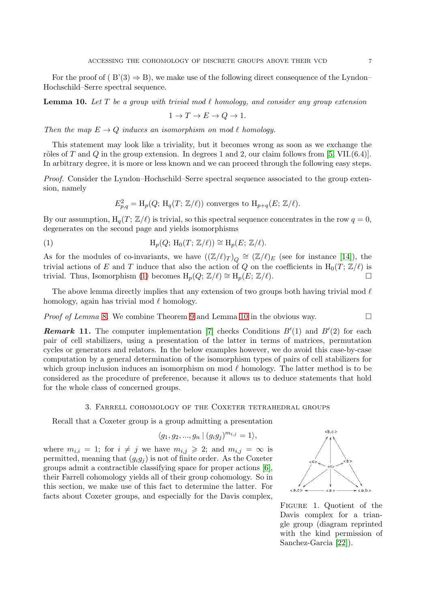For the proof of ( $B'(3) \Rightarrow B$ ), we make use of the following direct consequence of the Lyndon– Hochschild–Serre spectral sequence.

<span id="page-6-2"></span>**Lemma 10.** Let T be a group with trivial mod  $\ell$  homology, and consider any group extension

$$
1 \to T \to E \to Q \to 1.
$$

Then the map  $E \to Q$  induces an isomorphism on mod  $\ell$  homology.

This statement may look like a triviality, but it becomes wrong as soon as we exchange the rôles of T and Q in the group extension. In degrees 1 and 2, our claim follows from [\[5,](#page-18-0) VII.(6.4)]. In arbitrary degree, it is more or less known and we can proceed through the following easy steps.

Proof. Consider the Lyndon–Hochschild–Serre spectral sequence associated to the group extension, namely

<span id="page-6-1"></span>
$$
E_{p,q}^2 = \mathrm{H}_p(Q; \, \mathrm{H}_q(T; \, \mathbb{Z}/\ell))
$$
 converges to 
$$
\mathrm{H}_{p+q}(E; \, \mathbb{Z}/\ell).
$$

By our assumption,  $H_q(T; Z/\ell)$  is trivial, so this spectral sequence concentrates in the row  $q = 0$ , degenerates on the second page and yields isomorphisms

(1) 
$$
H_p(Q; H_0(T; \mathbb{Z}/\ell)) \cong H_p(E; \mathbb{Z}/\ell).
$$

As for the modules of co-invariants, we have  $((\mathbb{Z}/\ell)_T)_{Q} \cong (\mathbb{Z}/\ell)_E$  (see for instance [\[14\]](#page-18-16)), the trivial actions of E and T induce that also the action of Q on the coefficients in  $H_0(T; \mathbb{Z}/\ell)$  is trivial. Thus, Isomorphism [\(1\)](#page-6-1) becomes  $H_p(Q; Z/\ell) \cong H_p(E; Z/\ell)$ .  $□$ 

The above lemma directly implies that any extension of two groups both having trivial mod  $\ell$ homology, again has trivial mod  $\ell$  homology.

*Proof of Lemma* [8](#page-5-1). We combine Theorem [9](#page-5-2) and Lemma [10](#page-6-2) in the obvious way.  $\Box$ 

**Remark 11.** The computer implementation [\[7\]](#page-18-1) checks Conditions  $B'(1)$  and  $B'(2)$  for each pair of cell stabilizers, using a presentation of the latter in terms of matrices, permutation cycles or generators and relators. In the below examples however, we do avoid this case-by-case computation by a general determination of the isomorphism types of pairs of cell stabilizers for which group inclusion induces an isomorphism on mod  $\ell$  homology. The latter method is to be considered as the procedure of preference, because it allows us to deduce statements that hold for the whole class of concerned groups.

## 3. Farrell cohomology of the Coxeter tetrahedral groups

<span id="page-6-0"></span>Recall that a Coxeter group is a group admitting a presentation

$$
\langle g_1, g_2, ..., g_n | (g_i g_j)^{m_{i,j}} = 1 \rangle,
$$

where  $m_{i,i} = 1$ ; for  $i \neq j$  we have  $m_{i,j} \geq 2$ ; and  $m_{i,j} = \infty$  is permitted, meaning that  $(g_i g_j)$  is not of finite order. As the Coxeter groups admit a contractible classifying space for proper actions [\[6\]](#page-18-18), their Farrell cohomology yields all of their group cohomology. So in this section, we make use of this fact to determine the latter. For facts about Coxeter groups, and especially for the Davis complex,

<span id="page-6-3"></span>

Figure 1. Quotient of the Davis complex for a triangle group (diagram reprinted with the kind permission of Sanchez-Garcia [\[22\]](#page-18-17)).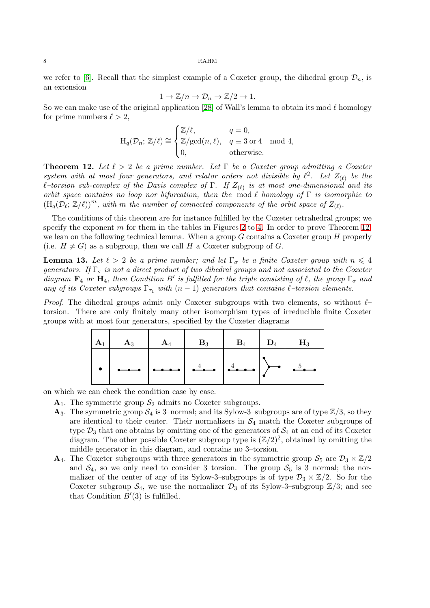we refer to [\[6\]](#page-18-18). Recall that the simplest example of a Coxeter group, the dihedral group  $\mathcal{D}_n$ , is an extension

$$
1 \to \mathbb{Z}/n \to \mathcal{D}_n \to \mathbb{Z}/2 \to 1.
$$

So we can make use of the original application [\[28\]](#page-19-2) of Wall's lemma to obtain its mod  $\ell$  homology for prime numbers  $\ell > 2$ ,

$$
\mathrm{H}_q(\mathcal{D}_n; \, \mathbb{Z}/\ell) \cong \begin{cases} \mathbb{Z}/\ell, & q = 0, \\ \mathbb{Z}/\mathrm{gcd}(n, \ell), & q \equiv 3 \text{ or } 4 \mod 4, \\ 0, & \text{otherwise.} \end{cases}
$$

<span id="page-7-0"></span>**Theorem 12.** Let  $\ell > 2$  be a prime number. Let  $\Gamma$  be a Coxeter group admitting a Coxeter system with at most four generators, and relator orders not divisible by  $\ell^2$ . Let  $Z_{(\ell)}$  be the  $\ell\text{-torsion sub-complex of the Davis complex of $\Gamma$. If $Z_{(\ell)}$ is at most one-dimensional and its $|\ell|=1$.}$ orbit space contains no loop nor bifurcation, then the mod  $\ell$  homology of  $\Gamma$  is isomorphic to  $(\mathrm{H}_q(\mathcal{D}_\ell;\mathbb{Z}/\ell))^m$ , with m the number of connected components of the orbit space of  $Z_{(\ell)}$ .

The conditions of this theorem are for instance fulfilled by the Coxeter tetrahedral groups; we specify the exponent m for them in the tables in Figures [2](#page-9-0) to [4.](#page-11-0) In order to prove Theorem [12,](#page-7-0) we lean on the following technical lemma. When a group  $G$  contains a Coxeter group  $H$  properly (i.e.  $H \neq G$ ) as a subgroup, then we call H a Coxeter subgroup of G.

<span id="page-7-1"></span>**Lemma 13.** Let  $\ell > 2$  be a prime number; and let  $\Gamma_{\sigma}$  be a finite Coxeter group with  $n \leq 4$ generators. If  $\Gamma_{\sigma}$  is not a direct product of two dihedral groups and not associated to the Coxeter diagram  $\mathbf{F}_4$  or  $\mathbf{H}_4$ , then Condition B' is fulfilled for the triple consisting of  $\ell$ , the group  $\Gamma_{\sigma}$  and any of its Coxeter subgroups  $\Gamma_{\tau_1}$  with  $(n-1)$  generators that contains  $\ell$ -torsion elements.

*Proof.* The dihedral groups admit only Coxeter subgroups with two elements, so without  $\ell$ torsion. There are only finitely many other isomorphism types of irreducible finite Coxeter groups with at most four generators, specified by the Coxeter diagrams

| $\begin{array}{ c c c c c c }\hline \begin{array}{ c c c c c c }\hline \begin{array}{ c c c c c }\hline \begin{array}{ c c c c c }\hline \begin{array}{ c c c c }\hline \begin{array}{ c c c c }\hline \begin{array}{ c c c c }\hline \begin{array}{ c c c }\hline \begin{array}{ c c c }\hline \begin{array}{ c c c }\hline \begin{array}{ c c c }\hline \begin{array}{ c c c }\hline \begin{array}{ c c c }\h$ |  |  |  |
|------------------------------------------------------------------------------------------------------------------------------------------------------------------------------------------------------------------------------------------------------------------------------------------------------------------------------------------------------------------------------------------------------------------|--|--|--|
| $  \cdot   \cdot \cdot   \cdot \cdot   \cdot \cdot \cdot   \cdot \cdot \cdot   \cdot \cdot \cdot   \cdot \cdot \cdot   \cdot \cdot   \cdot \cdot  $                                                                                                                                                                                                                                                              |  |  |  |

on which we can check the condition case by case.

 $A_1$ . The symmetric group  $S_2$  admits no Coxeter subgroups.

- $\mathbf{A}_3$ . The symmetric group  $\mathcal{S}_4$  is 3–normal; and its Sylow-3–subgroups are of type  $\mathbb{Z}/3$ , so they are identical to their center. Their normalizers in  $S_4$  match the Coxeter subgroups of type  $\mathcal{D}_3$  that one obtains by omitting one of the generators of  $\mathcal{S}_4$  at an end of its Coxeter diagram. The other possible Coxeter subgroup type is  $(\mathbb{Z}/2)^2$ , obtained by omitting the middle generator in this diagram, and contains no 3–torsion.
- $\mathbf{A}_4$ . The Coxeter subgroups with three generators in the symmetric group  $S_5$  are  $\mathcal{D}_3 \times \mathbb{Z}/2$ and  $S_4$ , so we only need to consider 3-torsion. The group  $S_5$  is 3-normal; the normalizer of the center of any of its Sylow-3-subgroups is of type  $\mathcal{D}_3 \times \mathbb{Z}/2$ . So for the Coxeter subgroup  $S_4$ , we use the normalizer  $\mathcal{D}_3$  of its Sylow-3-subgroup  $\mathbb{Z}/3$ ; and see that Condition  $B'(3)$  is fulfilled.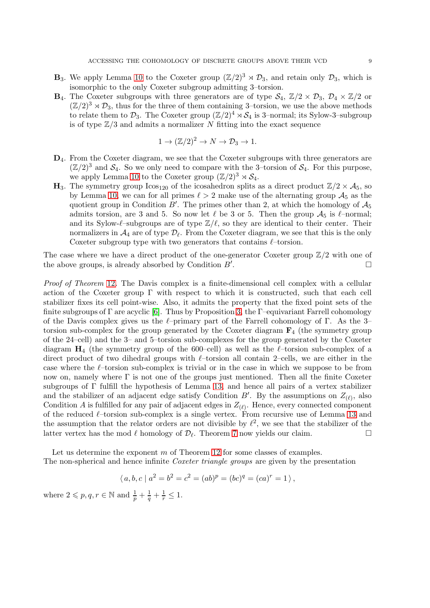- **B**<sub>3</sub>. We apply Lemma [10](#page-6-2) to the Coxeter group  $(\mathbb{Z}/2)^3 \rtimes \mathcal{D}_3$ , and retain only  $\mathcal{D}_3$ , which is isomorphic to the only Coxeter subgroup admitting 3–torsion.
- $\mathbf{B}_4$ . The Coxeter subgroups with three generators are of type  $\mathcal{S}_4$ ,  $\mathbb{Z}/2 \times \mathcal{D}_3$ ,  $\mathcal{D}_4 \times \mathbb{Z}/2$  or  $(\mathbb{Z}/2)^3 \rtimes \mathcal{D}_3$ , thus for the three of them containing 3-torsion, we use the above methods to relate them to  $\mathcal{D}_3$ . The Coxeter group  $(\mathbb{Z}/2)^4 \rtimes \mathcal{S}_4$  is 3–normal; its Sylow-3–subgroup is of type  $\mathbb{Z}/3$  and admits a normalizer N fitting into the exact sequence

$$
1 \to (\mathbb{Z}/2)^2 \to N \to \mathcal{D}_3 \to 1.
$$

- D4. From the Coxeter diagram, we see that the Coxeter subgroups with three generators are  $(\mathbb{Z}/2)^3$  and  $\mathcal{S}_4$ . So we only need to compare with the 3-torsion of  $\mathcal{S}_4$ . For this purpose, we apply Lemma [10](#page-6-2) to the Coxeter group  $(\mathbb{Z}/2)^3 \rtimes \mathcal{S}_4$ .
- $\mathbf{H}_3$ . The symmetry group  $\text{Icos}_{120}$  of the icosahedron splits as a direct product  $\mathbb{Z}/2 \times \mathcal{A}_5$ , so by Lemma [10,](#page-6-2) we can for all primes  $\ell > 2$  make use of the alternating group  $\mathcal{A}_5$  as the quotient group in Condition  $B'$ . The primes other than 2, at which the homology of  $A_5$ admits torsion, are 3 and 5. So now let  $\ell$  be 3 or 5. Then the group  $\mathcal{A}_5$  is  $\ell$ –normal; and its Sylow- $\ell$ –subgroups are of type  $\mathbb{Z}/\ell$ , so they are identical to their center. Their normalizers in  $\mathcal{A}_4$  are of type  $\mathcal{D}_\ell$ . From the Coxeter diagram, we see that this is the only Coxeter subgroup type with two generators that contains  $\ell$ -torsion.

The case where we have a direct product of the one-generator Coxeter group  $\mathbb{Z}/2$  with one of the above groups, is already absorbed by Condition  $B'$ . .

Proof of Theorem [12](#page-7-0). The Davis complex is a finite-dimensional cell complex with a cellular action of the Coxeter group  $\Gamma$  with respect to which it is constructed, such that each cell stabilizer fixes its cell point-wise. Also, it admits the property that the fixed point sets of the finite subgroups of  $\Gamma$  are acyclic [\[6\]](#page-18-18). Thus by Proposition [3,](#page-3-1) the  $\Gamma$ -equivariant Farrell cohomology of the Davis complex gives us the  $\ell$ –primary part of the Farrell cohomology of Γ. As the 3– torsion sub-complex for the group generated by the Coxeter diagram  $\mathbf{F}_4$  (the symmetry group of the 24–cell) and the 3– and 5–torsion sub-complexes for the group generated by the Coxeter diagram  $H_4$  (the symmetry group of the 600–cell) as well as the  $\ell$ –torsion sub-complex of a direct product of two dihedral groups with  $\ell$ –torsion all contain 2–cells, we are either in the case where the  $\ell$ –torsion sub-complex is trivial or in the case in which we suppose to be from now on, namely where  $\Gamma$  is not one of the groups just mentioned. Then all the finite Coxeter subgroups of Γ fulfill the hypothesis of Lemma [13,](#page-7-1) and hence all pairs of a vertex stabilizer and the stabilizer of an adjacent edge satisfy Condition B'. By the assumptions on  $Z_{(\ell)}$ , also Condition A is fulfilled for any pair of adjacent edges in  $Z_{(\ell)}$ . Hence, every connected component of the reduced  $\ell$ –torsion sub-complex is a single vertex. From recursive use of Lemma [13](#page-7-1) and the assumption that the relator orders are not divisible by  $\ell^2$ , we see that the stabilizer of the latter vertex has the mod  $\ell$  homology of  $\mathcal{D}_{\ell}$ . Theorem [7](#page-5-0) now yields our claim.

Let us determine the exponent m of Theorem [12](#page-7-0) for some classes of examples. The non-spherical and hence infinite *Coxeter triangle groups* are given by the presentation

$$
\langle a, b, c \mid a^2 = b^2 = c^2 = (ab)^p = (bc)^q = (ca)^r = 1 \rangle
$$
,

where  $2 \leqslant p, q, r \in \mathbb{N}$  and  $\frac{1}{p} + \frac{1}{q} + \frac{1}{r} \leq 1$ .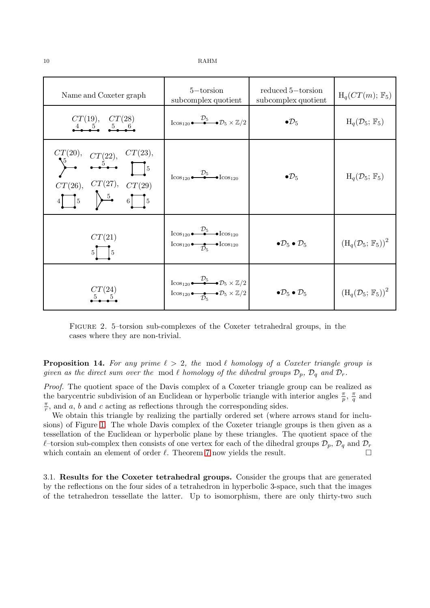<span id="page-9-0"></span>

| Name and Coxeter graph                                                                                                                                                                         | $5$ -torsion<br>subcomplex quotient                                                                                                                                                        | reduced 5-torsion<br>subcomplex quotient      | $H_q(CT(m); F_5)$                               |
|------------------------------------------------------------------------------------------------------------------------------------------------------------------------------------------------|--------------------------------------------------------------------------------------------------------------------------------------------------------------------------------------------|-----------------------------------------------|-------------------------------------------------|
| $CT(19), \quad CT(28)$                                                                                                                                                                         | $\operatorname{Icos}_{120} \stackrel{\mathcal{D}_5}{\bullet} \stackrel{\bullet}{\bullet} \mathcal{D}_5 \times \mathbb{Z}/2$                                                                | $\bullet \mathcal{D}_5$                       | $H_q(\mathcal{D}_5;\mathbb{F}_5)$               |
| $\sum_{i=1}^{CT(20)}$ , $CT(22)$ , $CT(23)$ ,<br>$CT(26)$ , $CT(27)$ , $CT(29)$<br>$4 \begin{bmatrix} 5 \end{bmatrix}$ $5 \begin{bmatrix} 5 \end{bmatrix}$ $6 \begin{bmatrix} 5 \end{bmatrix}$ | $\operatorname{Icos}_{120}$ $\overset{\mathcal{D}_5}{\bullet}$ $\bullet$ $\operatorname{Icos}_{120}$                                                                                       | $\bullet \mathcal{D}_5$                       | $H_q(\mathcal{D}_5; \mathbb{F}_5)$              |
| CT(21)<br>$\frac{1}{5}$                                                                                                                                                                        | $\operatorname{Icos}_{120}$ $\overset{\mathcal{D}_5}{\bullet}$ $\bullet$ $\operatorname{Icos}_{120}$<br>$I\cos_{120}$ $\bullet$ $\bullet$ $I\cos_{120}$                                    | $\bullet \mathcal{D}_5 \bullet \mathcal{D}_5$ | $(H_q(\mathcal{D}_5;\mathbb{F}_5))^2$           |
| CT(24)                                                                                                                                                                                         | $\operatorname{Icos}_{120} \stackrel{\mathcal{D}_5}{\bullet} \stackrel{\bullet}{\bullet} \mathcal{D}_5 \times \mathbb{Z}/2$<br>$I\cos_{120}$ $\bullet$ $\mathcal{D}_5 \times \mathbb{Z}/2$ | $\bullet \mathcal{D}_5 \bullet \mathcal{D}_5$ | $(\mathrm{H}_q(\mathcal{D}_5; \mathbb{F}_5))^2$ |

Figure 2. 5–torsion sub-complexes of the Coxeter tetrahedral groups, in the cases where they are non-trivial.

**Proposition 14.** For any prime  $\ell > 2$ , the mod  $\ell$  homology of a Coxeter triangle group is given as the direct sum over the mod  $\ell$  homology of the dihedral groups  $\mathcal{D}_p$ ,  $\mathcal{D}_q$  and  $\mathcal{D}_r$ .

Proof. The quotient space of the Davis complex of a Coxeter triangle group can be realized as the barycentric subdivision of an Euclidean or hyperbolic triangle with interior angles  $\frac{\pi}{p}$ ,  $\frac{\pi}{q}$  $\frac{\pi}{q}$  and π  $\frac{\pi}{r}$ , and a, b and c acting as reflections through the corresponding sides.

We obtain this triangle by realizing the partially ordered set (where arrows stand for inclusions) of Figure [1.](#page-6-3) The whole Davis complex of the Coxeter triangle groups is then given as a tessellation of the Euclidean or hyperbolic plane by these triangles. The quotient space of the  $\ell$ –torsion sub-complex then consists of one vertex for each of the dihedral groups  $\mathcal{D}_p$ ,  $\mathcal{D}_q$  and  $\mathcal{D}_r$  which contain an element of order  $\ell$ . Theorem 7 now vields the result. which contain an element of order  $\ell$ . Theorem [7](#page-5-0) now yields the result.

3.1. Results for the Coxeter tetrahedral groups. Consider the groups that are generated by the reflections on the four sides of a tetrahedron in hyperbolic 3-space, such that the images of the tetrahedron tessellate the latter. Up to isomorphism, there are only thirty-two such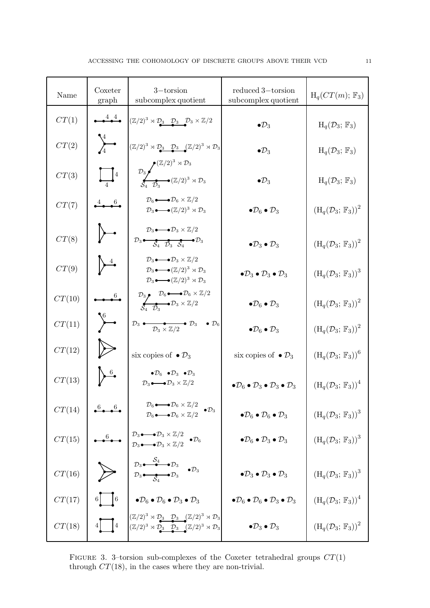| Name   | Coxeter<br>graph                            | $3$ -torsion<br>subcomplex quotient                                                                                                                                                                                                                                   | reduced 3-torsion<br>subcomplex quotient                                                  | $H_q(CT(m); \mathbb{F}_3)$                                 |
|--------|---------------------------------------------|-----------------------------------------------------------------------------------------------------------------------------------------------------------------------------------------------------------------------------------------------------------------------|-------------------------------------------------------------------------------------------|------------------------------------------------------------|
| CT(1)  | $\overset{4}{\bullet}$                      | $(\mathbb{Z}/2)^3 \rtimes \mathcal{D}_3$ $\mathcal{D}_3$ $\mathcal{D}_3 \times \mathbb{Z}/2$                                                                                                                                                                          | $\bullet \mathcal{D}_3$                                                                   | $H_q(\mathcal{D}_3;\mathbb{F}_3)$                          |
| CT(2)  | $\sum_{1}^{4}$                              | $(\mathbb{Z}/2)^3 \rtimes \mathcal{D}_3$ $\mathcal{D}_3$ $(\mathbb{Z}/2)^3 \rtimes \mathcal{D}_3$                                                                                                                                                                     | $\bullet \mathcal{D}_3$                                                                   | $H_q(\mathcal{D}_3; \mathbb{F}_3)$                         |
| CT(3)  | $\prod_{\cdot} 4$                           | $\mathcal{D}_3$ $\sum_{S_4} \sum_{\mathcal{D}_3} (\mathbb{Z}/2)^3 \rtimes \mathcal{D}_3$                                                                                                                                                                              | $\bullet \mathcal{D}_3$                                                                   | $H_q(\mathcal{D}_3;\mathbb{F}_3)$                          |
| CT(7)  | $4 \bullet 6$                               | $\mathcal{D}_6 \longrightarrow \mathcal{D}_6 \times \mathbb{Z}/2$<br>$\mathcal{D}_3 \longrightarrow (\mathbb{Z}/2)^3 \rtimes \mathcal{D}_3$                                                                                                                           | $\bullet \mathcal{D}_6 \bullet \mathcal{D}_3$                                             | $(H_q(\mathcal{D}_3; \mathbb{F}_3))^2$                     |
| CT(8)  |                                             | $\mathcal{D}_3 \longrightarrow \mathcal{D}_3 \times \mathbb{Z}/2$<br>$\mathcal{D}_3 \bullet \bullet \bullet \bullet \bullet \bullet \mathcal{D}_3$                                                                                                                    | $\bullet \mathcal{D}_3 \bullet \mathcal{D}_3$                                             | $(H_q(\mathcal{D}_3; \mathbb{F}_3))^2$                     |
| CT(9)  | $\rightarrow$                               | $\mathcal{D}_3 \longrightarrow \mathcal{D}_3 \times \mathbb{Z}/2$<br>$\mathcal{D}_3 \longrightarrow (\mathbb{Z}/2)^3 \rtimes \mathcal{D}_3$<br>$\mathcal{D}_3 \longrightarrow (\mathbb{Z}/2)^3 \rtimes \mathcal{D}_3$                                                 | $\bullet \mathcal{D}_3 \bullet \mathcal{D}_3 \bullet \mathcal{D}_3$                       | $(H_q(\mathcal{D}_3; \mathbb{F}_3))^3$                     |
| CT(10) |                                             | $\mathcal{D}_3$<br>$\mathcal{D}_6 \longrightarrow \mathcal{D}_6 \times \mathbb{Z}/2$<br>$\mathcal{S}_4$ $\mathcal{D}_3 \longrightarrow \mathcal{D}_3 \times \mathbb{Z}/2$                                                                                             | $\bullet \mathcal{D}_6 \bullet \mathcal{D}_3$                                             | $(H_q(\mathcal{D}_3; \mathbb{F}_3))^2$                     |
| CT(11) | $\sqrt{\ }$                                 | $\mathcal{D}_3 \rightarrow \mathcal{D}_3 \times \mathbb{Z}/2$ $\rightarrow \mathcal{D}_3 \rightarrow \mathcal{D}_6$                                                                                                                                                   | $\bullet \mathcal{D}_6 \bullet \mathcal{D}_3$                                             | $(H_q(\mathcal{D}_3; \mathbb{F}_3))^2$                     |
| CT(12) |                                             | six copies of $\bullet \mathcal{D}_3$                                                                                                                                                                                                                                 | six copies of $\bullet \mathcal{D}_3$                                                     | $(H_q(\mathcal{D}_3; \mathbb{F}_3))^6$                     |
| CT(13) | $\frac{6}{ }$                               | $\bullet \mathcal{D}_6 \bullet \mathcal{D}_3 \bullet \mathcal{D}_3$<br>$\mathcal{D}_3 \longrightarrow \mathcal{D}_3 \times \mathbb{Z}/2$                                                                                                                              | $\bullet \mathcal{D}_6 \bullet \mathcal{D}_3 \bullet \mathcal{D}_3 \bullet \mathcal{D}_3$ | $(H_q(\mathcal{D}_3; \mathbb{F}_3))^4$                     |
| CT(14) |                                             | $\mathcal{D}_6 \longrightarrow \mathcal{D}_6 \times \mathbb{Z}/2$<br>$\mathcal{D}_6 \longrightarrow \mathcal{D}_6 \times \mathbb{Z}/2$<br>$\bullet \mathcal{D}_3$                                                                                                     | $\bullet \mathcal{D}_6 \bullet \mathcal{D}_6 \bullet \mathcal{D}_3$                       | $(H_q(\mathcal{D}_3; \mathbb{F}_3))^3$                     |
| CT(15) |                                             | $\begin{array}{ccc}\n\mathcal{D}_3 \bullet \longrightarrow \mathcal{D}_3 \times \mathbb{Z}/2 & \bullet \mathcal{D}_6 \\ \mathcal{D}_3 \bullet \longrightarrow \mathcal{D}_3 \times \mathbb{Z}/2 & \bullet \mathcal{D}_6\n\end{array}$                                 | $\bullet \mathcal{D}_6 \bullet \mathcal{D}_3 \bullet \mathcal{D}_3$                       | $(H_q(\mathcal{D}_3; \mathbb{F}_3))^3$                     |
| CT(16) |                                             | $\sum_{\mathcal{D}_3 \longrightarrow \mathcal{D}_3} \begin{array}{ c } \mathcal{D}_3 \longrightarrow^{\mathcal{S}_4} \mathcal{D}_3 & \bullet \mathcal{D}_3 \\ \hline \mathcal{D}_3 \longrightarrow^{\mathcal{S}_4} \mathcal{D}_3 & \bullet \mathcal{D}_3 \end{array}$ | $\bullet \mathcal{D}_3 \bullet \mathcal{D}_3 \bullet \mathcal{D}_3$                       | $(H_q(\mathcal{D}_3; \mathbb{F}_3))^3$                     |
| CT(17) |                                             | 6 $\begin{bmatrix} 6 & \end{bmatrix}$ $\bullet \mathcal{D}_6 \bullet \mathcal{D}_6 \bullet \mathcal{D}_3 \bullet \mathcal{D}_3$                                                                                                                                       | $\bullet \mathcal{D}_6 \bullet \mathcal{D}_6 \bullet \mathcal{D}_3 \bullet \mathcal{D}_3$ | $(H_q(\mathcal{D}_3; \mathbb{F}_3))^4$                     |
| CT(18) | $4\begin{array}{ c c } \hline 4\end{array}$ | $\begin{array}{l} \left(\mathbb{Z}/2\right)^3\rtimes\mathcal{D}_3 \quad \mathcal{D}_3 \quad (\mathbb{Z}/2)^3\rtimes\mathcal{D}_3 \\ \left(\mathbb{Z}/2\right)^3\rtimes\mathcal{D}_3 \quad \mathcal{D}_3 \quad (\mathbb{Z}/2)^3\rtimes\mathcal{D}_3 \end{array}$       | $\bullet \mathcal{D}_3 \bullet \mathcal{D}_3$                                             | $\left(\mathrm{H}_q(\mathcal{D}_3; \mathbb{F}_3)\right)^2$ |

FIGURE 3. 3–torsion sub-complexes of the Coxeter tetrahedral groups  $CT(1)$ through  $CT(18)$ , in the cases where they are non-trivial.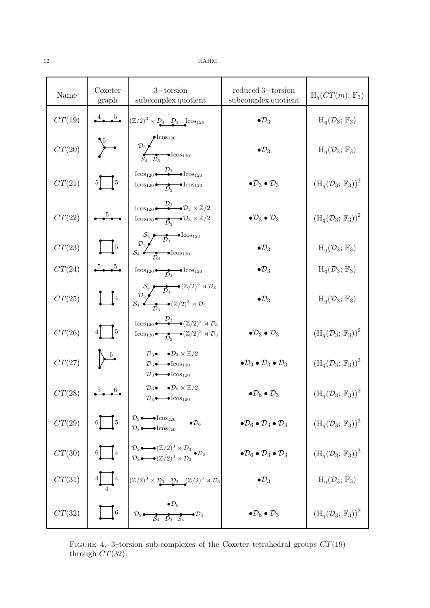<span id="page-11-0"></span>

| Name   | Coxeter<br>graph                                                  | $3$ -torsion<br>subcomplex quotient                                                                                                                                                                                                                                                                                                         | reduced 3-torsion<br>subcomplex quotient                            | $H_q(CT(m); F_3)$                      |
|--------|-------------------------------------------------------------------|---------------------------------------------------------------------------------------------------------------------------------------------------------------------------------------------------------------------------------------------------------------------------------------------------------------------------------------------|---------------------------------------------------------------------|----------------------------------------|
| CT(19) | $\stackrel{4}{\bullet}\stackrel{5}{\bullet}$                      | $(\mathbb{Z}/2)^3 \rtimes \mathcal{D}_3$ $\mathcal{D}_3$ $\operatorname{Icos}_{120}$                                                                                                                                                                                                                                                        | $\bullet \mathcal{D}_3$                                             | $H_q(\mathcal{D}_3; \mathbb{F}_3)$     |
| CT(20) | $\sum$                                                            | $\begin{picture}(120,110) \put(0,0){\line(1,0){100}} \put(15,0){\line(1,0){100}} \put(15,0){\line(1,0){100}} \put(15,0){\line(1,0){100}} \put(15,0){\line(1,0){100}} \put(15,0){\line(1,0){100}} \put(15,0){\line(1,0){100}} \put(15,0){\line(1,0){100}} \put(15,0){\line(1,0){100}} \put(15,0){\line(1,0){100}} \put(15,0){\line(1,0){100$ | $\bullet \mathcal{D}_3$                                             | $H_q(\mathcal{D}_3;\mathbb{F}_3)$      |
| CT(21) | $5$   $5$                                                         | $\operatorname{Icos}_{120}$ $\overset{\mathcal{D}_3}{\bullet}$ $\text{Icos}_{120}$<br>$I\cos_{120}$ $\bullet$ $\bullet$ $I\cos_{120}$                                                                                                                                                                                                       | $\bullet \mathcal{D}_3 \bullet \mathcal{D}_3$                       | $(H_q(\mathcal{D}_3; \mathbb{F}_3))^2$ |
| CT(22) | $\frac{5}{2}$                                                     | $\operatorname{Icos}_{120} \stackrel{\mathcal{D}_3}{\bullet} \stackrel{\bullet}{\bullet} \mathcal{D}_3 \times \mathbb{Z}/2$<br>$\operatorname{Icos}_{120} \bullet \bullet \mathcal{D}_3 \times \mathbb{Z}/2$                                                                                                                                | $\bullet \mathcal{D}_3 \bullet \mathcal{D}_3$                       | $(H_q(\mathcal{D}_3; \mathbb{F}_3))^2$ |
| CT(23) | $\sqrt{5}$                                                        | $S_4 \xrightarrow{\mathcal{D}_3} \text{Icos}_{120}$<br>$S_4 \xrightarrow{\mathcal{D}_3} \text{Icos}_{120}$                                                                                                                                                                                                                                  | $\bullet \mathcal{D}_3$                                             | $H_q(\mathcal{D}_3; \mathbb{F}_3)$     |
| CT(24) | $\stackrel{5}{\bullet}\stackrel{5}{\bullet}\stackrel{5}{\bullet}$ | $I\cos_{120}$ $\bullet$ $\rightarrow$ $I\cos_{120}$                                                                                                                                                                                                                                                                                         | $\bullet \mathcal{D}_3$                                             | $H_q(\mathcal{D}_3; \mathbb{F}_3)$     |
| CT(25) | $\sqrt{4}$                                                        | $S_4$<br>$S_3$<br>$S_4$<br>$\overbrace{D_3}$<br>$\overbrace{D_2}$<br>$\overbrace{(\mathbb{Z}/2)^3 \rtimes D_3}$                                                                                                                                                                                                                             | $\bullet \mathcal{D}_3$                                             | $H_q(\mathcal{D}_3; \mathbb{F}_3)$     |
| CT(26) | $4$   $5$                                                         | Icos <sub>120</sub> $\overset{\mathcal{D}_3}{\bullet}$ $\overset{\mathcal{D}_3}{\bullet}$ $(\mathbb{Z}/2)^3 \rtimes \mathcal{D}_3$<br>Icos <sub>120</sub> $\bullet \rightarrow (\mathbb{Z}/2)^3 \rtimes \mathcal{D}_3$                                                                                                                      | $\bullet \mathcal{D}_3 \bullet \mathcal{D}_3$                       | $(H_q(\mathcal{D}_3; \mathbb{F}_3))^2$ |
| CT(27) |                                                                   | $\mathcal{D}_3 \longrightarrow \mathcal{D}_3 \times \mathbb{Z}/2$<br>$\mathcal{D}_3 \longrightarrow \text{Icos}_{120}$<br>$\mathcal{D}_3 \longrightarrow \text{Icos}_{120}$                                                                                                                                                                 | $\bullet \mathcal{D}_3 \bullet \mathcal{D}_3 \bullet \mathcal{D}_3$ | $(H_q(\mathcal{D}_3; \mathbb{F}_3))^3$ |
| CT(28) | $5 \t 6$                                                          | $\mathcal{D}_6 \longrightarrow \mathcal{D}_6 \times \mathbb{Z}/2$<br>$\mathcal{D}_3 \longrightarrow \text{Icos}_{120}$                                                                                                                                                                                                                      | $\bullet \mathcal{D}_6 \bullet \mathcal{D}_3$                       | $(H_q(\mathcal{D}_3; \mathbb{F}_3))^2$ |
| CT(29) | $6 \frac{1}{5}$                                                   | $\mathcal{D}_3 \bullet \longrightarrow \text{Icos}_{120}$<br>$\bullet \mathcal{D}_6$<br>$\mathcal{D}_3 \rightarrow \text{Icos}_{120}$                                                                                                                                                                                                       | $\bullet \mathcal{D}_6 \bullet \mathcal{D}_3 \bullet \mathcal{D}_3$ | $(H_q(\mathcal{D}_3; \mathbb{F}_3))^3$ |
| CT(30) | $6\boxed{4}$                                                      | $\n  \begin{array}{l}\n {\mathcal D}_3 \bullet \longrightarrow ({\mathbb Z}/2)^3 \rtimes {\mathcal D}_3 \\  {\mathcal D}_3 \bullet \longrightarrow ({\mathbb Z}/2)^3 \rtimes {\mathcal D}_3\n  \end{array}\bullet {\mathcal D}_6\n  \  \, \end{array}$                                                                                      | $\bullet \mathcal{D}_6 \bullet \mathcal{D}_3 \bullet \mathcal{D}_3$ | $(H_q(\mathcal{D}_3; \mathbb{F}_3))^3$ |
| CT(31) |                                                                   | $(\mathbb{Z}/2)^3 \rtimes \mathcal{D}_3$ $\mathcal{D}_3$ $(\mathbb{Z}/2)^3 \rtimes \mathcal{D}_3$                                                                                                                                                                                                                                           | $\bullet \mathcal{D}_3$                                             | $H_q(\mathcal{D}_3; \mathbb{F}_3)$     |
| CT(32) | $\boxed{6}$                                                       | $\bullet \mathcal{D}_6$<br>$\mathcal{D}_3$ $\overset{\bullet}{\longrightarrow}$ $\overset{\bullet}{\mathcal{S}_4}$ $\overset{\bullet}{\mathcal{D}_3}$ $\overset{\bullet}{\mathcal{S}_4}$ $\overset{\bullet}{\longrightarrow}$ $\mathcal{D}_3$                                                                                               | $\bullet \mathcal{D}_6 \bullet \mathcal{D}_3$                       | $(H_q(\mathcal{D}_3; \mathbb{F}_3))^2$ |

FIGURE 4. 3–torsion sub-complexes of the Coxeter tetrahedral groups  $CT(19)$ through  $CT(32)$ .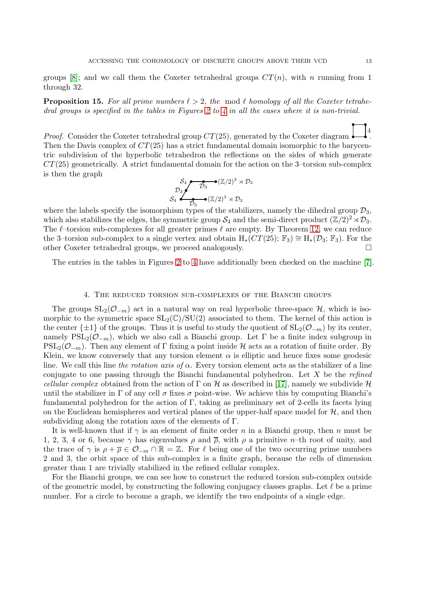groups [\[8\]](#page-18-8); and we call them the Coxeter tetrahedral groups  $CT(n)$ , with n running from 1 through 32.

**Proposition 15.** For all prime numbers  $\ell > 2$ , the mod  $\ell$  homology of all the Coxeter tetrahe-dral groups is specified in the tables in Figures [2](#page-9-0) to [4](#page-11-0) in all the cases where it is non-trivial.

*Proof.* Consider the Coxeter tetrahedral group  $CT(25)$ , generated by the Coxeter diagram 4 . Then the Davis complex of  $CT(25)$  has a strict fundamental domain isomorphic to the barycentric subdivision of the hyperbolic tetrahedron the reflections on the sides of which generate  $CT(25)$  geometrically. A strict fundamental domain for the action on the 3-torsion sub-complex is then the graph

$$
\begin{array}{ccc}\nS_4 & \bullet & (\mathbb{Z}/2)^3 \rtimes \mathcal{D}_3 \\
\mathcal{D}_3 & & \mathcal{D}_3 \\
S_4 & \bullet & (\mathbb{Z}/2)^3 \rtimes \mathcal{D}_3\n\end{array}
$$

where the labels specify the isomorphism types of the stabilizers, namely the dihedral group  $\mathcal{D}_3$ , which also stabilizes the edges, the symmetric group  $S_4$  and the semi-direct product  $(\mathbb{Z}/2)^2 \rtimes \mathcal{D}_3$ . The  $\ell$ -torsion sub-complexes for all greater primes  $\ell$  are empty. By Theorem [12,](#page-7-0) we can reduce the 3–torsion sub-complex to a single vertex and obtain  $H_*(CT(25); \mathbb{F}_3) \cong H_*(\mathcal{D}_3; \mathbb{F}_3)$ . For the other Coxeter tetrahedral groups, we proceed analogously. other Coxeter tetrahedral groups, we proceed analogously.

The entries in the tables in Figures [2](#page-9-0) to [4](#page-11-0) have additionally been checked on the machine [\[7\]](#page-18-1).

## 4. The reduced torsion sub-complexes of the Bianchi groups

<span id="page-12-0"></span>The groups  $SL_2(\mathcal{O}_{-m})$  act in a natural way on real hyperbolic three-space  $\mathcal{H}$ , which is isomorphic to the symmetric space  $SL_2(\mathbb{C})/SU(2)$  associated to them. The kernel of this action is the center  $\{\pm 1\}$  of the groups. Thus it is useful to study the quotient of  $SL_2(\mathcal{O}_{-m})$  by its center, namely  $PSL_2(\mathcal{O}_{-m})$ , which we also call a Bianchi group. Let  $\Gamma$  be a finite index subgroup in  $PSL_2(\mathcal{O}_{-m})$ . Then any element of Γ fixing a point inside H acts as a rotation of finite order. By Klein, we know conversely that any torsion element  $\alpha$  is elliptic and hence fixes some geodesic line. We call this line the rotation axis of  $\alpha$ . Every torsion element acts as the stabilizer of a line conjugate to one passing through the Bianchi fundamental polyhedron. Let  $X$  be the refined cellular complex obtained from the action of  $\Gamma$  on H as described in [\[17\]](#page-18-10), namely we subdivide H until the stabilizer in  $\Gamma$  of any cell  $\sigma$  fixes  $\sigma$  point-wise. We achieve this by computing Bianchi's fundamental polyhedron for the action of Γ, taking as preliminary set of 2-cells its facets lying on the Euclidean hemispheres and vertical planes of the upper-half space model for  $H$ , and then subdividing along the rotation axes of the elements of Γ.

It is well-known that if  $\gamma$  is an element of finite order n in a Bianchi group, then n must be 1, 2, 3, 4 or 6, because  $\gamma$  has eigenvalues  $\rho$  and  $\bar{\rho}$ , with  $\rho$  a primitive n–th root of unity, and the trace of  $\gamma$  is  $\rho + \overline{\rho} \in \mathcal{O}_{-m} \cap \mathbb{R} = \mathbb{Z}$ . For  $\ell$  being one of the two occurring prime numbers 2 and 3, the orbit space of this sub-complex is a finite graph, because the cells of dimension greater than 1 are trivially stabilized in the refined cellular complex.

For the Bianchi groups, we can see how to construct the reduced torsion sub-complex outside of the geometric model, by constructing the following conjugacy classes graphs. Let  $\ell$  be a prime number. For a circle to become a graph, we identify the two endpoints of a single edge.

 $\overline{\phantom{a}}$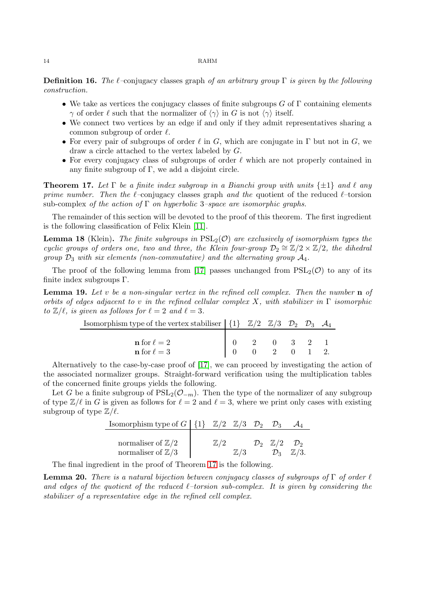**Definition 16.** The  $\ell$ –conjugacy classes graph of an arbitrary group  $\Gamma$  is given by the following construction.

- We take as vertices the conjugacy classes of finite subgroups  $G$  of  $\Gamma$  containing elements  $\gamma$  of order  $\ell$  such that the normalizer of  $\langle \gamma \rangle$  in G is not  $\langle \gamma \rangle$  itself.
- We connect two vertices by an edge if and only if they admit representatives sharing a common subgroup of order  $\ell$ .
- For every pair of subgroups of order  $\ell$  in G, which are conjugate in  $\Gamma$  but not in G, we draw a circle attached to the vertex labeled by G.
- For every conjugacy class of subgroups of order  $\ell$  which are not properly contained in any finite subgroup of  $\Gamma$ , we add a disjoint circle.

<span id="page-13-1"></span>**Theorem 17.** Let  $\Gamma$  be a finite index subgroup in a Bianchi group with units  $\{\pm 1\}$  and  $\ell$  any prime number. Then the  $\ell$ -conjugacy classes graph and the quotient of the reduced  $\ell$ -torsion sub-complex of the action of  $\Gamma$  on hyperbolic 3–space are isomorphic graphs.

The remainder of this section will be devoted to the proof of this theorem. The first ingredient is the following classification of Felix Klein [\[11\]](#page-18-19).

<span id="page-13-0"></span>**Lemma 18** (Klein). The finite subgroups in  $PSL_2(\mathcal{O})$  are exclusively of isomorphism types the cyclic groups of orders one, two and three, the Klein four-group  $\mathcal{D}_2 \cong \mathbb{Z}/2 \times \mathbb{Z}/2$ , the dihedral group  $\mathcal{D}_3$  with six elements (non-commutative) and the alternating group  $\mathcal{A}_4$ .

The proof of the following lemma from [\[17\]](#page-18-10) passes unchanged from  $PSL_2(\mathcal{O})$  to any of its finite index subgroups Γ.

<span id="page-13-2"></span>**Lemma 19.** Let v be a non-singular vertex in the refined cell complex. Then the number  $\bf{n}$  of orbits of edges adjacent to v in the refined cellular complex X, with stabilizer in  $\Gamma$  isomorphic to  $\mathbb{Z}/\ell$ , is given as follows for  $\ell = 2$  and  $\ell = 3$ .

| Isomorphism type of the vertex stabiliser $ \{1\} \mathbb{Z}/2 \mathbb{Z}/3 \mathbb{Z}_2 \mathbb{Z}_3$ $\mathcal{A}_4$ |  |  |  |  |
|------------------------------------------------------------------------------------------------------------------------|--|--|--|--|
|                                                                                                                        |  |  |  |  |
| $\mathbf{n}$ for $\ell = 2$                                                                                            |  |  |  |  |
| $\mathbf{n}$ for $\ell=3$                                                                                              |  |  |  |  |

Alternatively to the case-by-case proof of [\[17\]](#page-18-10), we can proceed by investigating the action of the associated normalizer groups. Straight-forward verification using the multiplication tables of the concerned finite groups yields the following.

Let G be a finite subgroup of  $PSL_2(\mathcal{O}_{-m})$ . Then the type of the normalizer of any subgroup of type  $\mathbb{Z}/\ell$  in G is given as follows for  $\ell = 2$  and  $\ell = 3$ , where we print only cases with existing subgroup of type  $\mathbb{Z}/\ell$ .

| Isomorphism type of $G \mid \{1\}$                           | $\mathbb{Z}/2$ $\mathbb{Z}/3$ $\mathcal{D}_2$ |                |                                                   |                  |
|--------------------------------------------------------------|-----------------------------------------------|----------------|---------------------------------------------------|------------------|
| normaliser of $\mathbb{Z}/2$<br>normaliser of $\mathbb{Z}/3$ | $\mathbb{Z}/2$                                | $\mathbb{Z}/3$ | $\mathcal{D}_2$ $\mathbb{Z}/2$<br>$\mathcal{D}_3$ | $\mathbb{Z}/3$ . |

The final ingredient in the proof of Theorem [17](#page-13-1) is the following.

<span id="page-13-3"></span>**Lemma 20.** There is a natural bijection between conjugacy classes of subgroups of  $\Gamma$  of order  $\ell$ and edges of the quotient of the reduced  $\ell$ -torsion sub-complex. It is given by considering the stabilizer of a representative edge in the refined cell complex.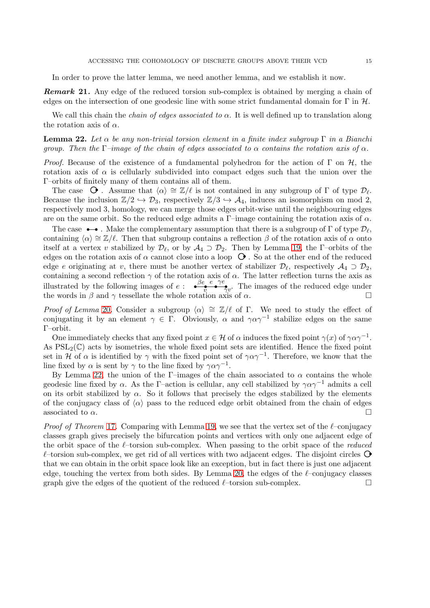In order to prove the latter lemma, we need another lemma, and we establish it now.

**Remark 21.** Any edge of the reduced torsion sub-complex is obtained by merging a chain of edges on the intersection of one geodesic line with some strict fundamental domain for Γ in  $H$ .

We call this chain the *chain of edges associated to*  $\alpha$ *.* It is well defined up to translation along the rotation axis of  $\alpha$ .

<span id="page-14-0"></span>**Lemma 22.** Let  $\alpha$  be any non-trivial torsion element in a finite index subgroup  $\Gamma$  in a Bianchi group. Then the Γ–image of the chain of edges associated to  $\alpha$  contains the rotation axis of  $\alpha$ .

*Proof.* Because of the existence of a fundamental polyhedron for the action of  $\Gamma$  on  $\mathcal{H}$ , the rotation axis of  $\alpha$  is cellularly subdivided into compact edges such that the union over the Γ–orbits of finitely many of them contains all of them.

The case  $\Theta$ . Assume that  $\langle \alpha \rangle \cong \mathbb{Z}/\ell$  is not contained in any subgroup of  $\Gamma$  of type  $\mathcal{D}_{\ell}$ . Because the inclusion  $\mathbb{Z}/2 \hookrightarrow \mathcal{D}_3$ , respectively  $\mathbb{Z}/3 \hookrightarrow \mathcal{A}_4$ , induces an isomorphism on mod 2, respectively mod 3, homology, we can merge those edges orbit-wise until the neighbouring edges are on the same orbit. So the reduced edge admits a Γ–image containing the rotation axis of  $\alpha$ .

The case  $\bullet \bullet$ . Make the complementary assumption that there is a subgroup of Γ of type  $\mathcal{D}_{\ell}$ , containing  $\langle \alpha \rangle \cong \mathbb{Z}/\ell$ . Then that subgroup contains a reflection  $\beta$  of the rotation axis of  $\alpha$  onto itself at a vertex v stabilized by  $\mathcal{D}_{\ell}$ , or by  $\mathcal{A}_4 \supset \mathcal{D}_2$ . Then by Lemma [19,](#page-13-2) the  $\Gamma$ -orbits of the edges on the rotation axis of  $\alpha$  cannot close into a loop  $\Theta$ . So at the other end of the reduced edge e originating at v, there must be another vertex of stabilizer  $\mathcal{D}_{\ell}$ , respectively  $\mathcal{A}_4 \supset \mathcal{D}_2$ , containing a second reflection  $\gamma$  of the rotation axis of  $\alpha$ . The latter reflection turns the axis as illustrated by the following images of  $e$  :  $\frac{\beta e}{\beta}$  $e \rightarrow \gamma e \rightarrow \gamma v$ . The images of the reduced edge under the words in  $\beta$  and  $\gamma$  tessellate the whole rotation axis of  $\alpha$ .

Proof of Lemma [20](#page-13-3). Consider a subgroup  $\langle \alpha \rangle \cong \mathbb{Z}/\ell$  of Γ. We need to study the effect of conjugating it by an element  $\gamma \in \Gamma$ . Obviously,  $\alpha$  and  $\gamma \alpha \gamma^{-1}$  stabilize edges on the same Γ–orbit.

One immediately checks that any fixed point  $x \in \mathcal{H}$  of  $\alpha$  induces the fixed point  $\gamma(x)$  of  $\gamma \alpha \gamma^{-1}$ . As  $PSL_2(\mathbb{C})$  acts by isometries, the whole fixed point sets are identified. Hence the fixed point set in H of  $\alpha$  is identified by  $\gamma$  with the fixed point set of  $\gamma \alpha \gamma^{-1}$ . Therefore, we know that the line fixed by  $\alpha$  is sent by  $\gamma$  to the line fixed by  $\gamma \alpha \gamma^{-1}$ .

By Lemma [22,](#page-14-0) the union of the Γ–images of the chain associated to  $\alpha$  contains the whole geodesic line fixed by  $\alpha$ . As the Γ–action is cellular, any cell stabilized by  $\gamma \alpha \gamma^{-1}$  admits a cell on its orbit stabilized by  $\alpha$ . So it follows that precisely the edges stabilized by the elements of the conjugacy class of  $\langle \alpha \rangle$  pass to the reduced edge orbit obtained from the chain of edges associated to  $\alpha$ . associated to  $\alpha$ .

*Proof of Theorem* [17](#page-13-1). Comparing with Lemma [19,](#page-13-2) we see that the vertex set of the  $\ell$ –conjugacy classes graph gives precisely the bifurcation points and vertices with only one adjacent edge of the orbit space of the  $\ell$ –torsion sub-complex. When passing to the orbit space of the *reduced*  $\ell$ –torsion sub-complex, we get rid of all vertices with two adjacent edges. The disjoint circles  $\mathbf{\Theta}$ that we can obtain in the orbit space look like an exception, but in fact there is just one adjacent edge, touching the vertex from both sides. By Lemma [20,](#page-13-3) the edges of the  $\ell$ –conjugacy classes graph give the edges of the quotient of the reduced  $\ell$ –torsion sub-complex.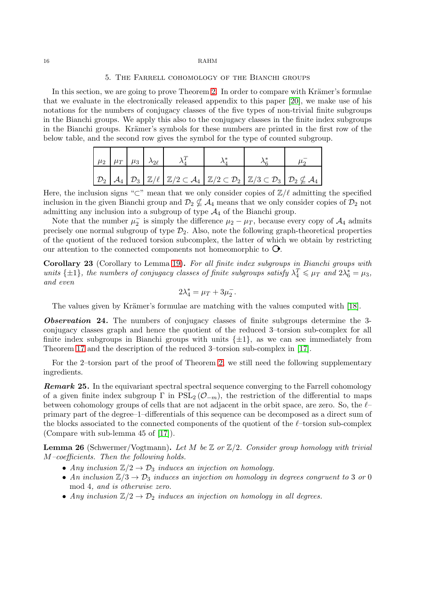### 5. The Farrell cohomology of the Bianchi groups

<span id="page-15-0"></span>In this section, we are going to prove Theorem [2.](#page-2-0) In order to compare with Krämer's formulae that we evaluate in the electronically released appendix to this paper [\[20\]](#page-18-4), we make use of his notations for the numbers of conjugacy classes of the five types of non-trivial finite subgroups in the Bianchi groups. We apply this also to the conjugacy classes in the finite index subgroups in the Bianchi groups. Krämer's symbols for these numbers are printed in the first row of the below table, and the second row gives the symbol for the type of counted subgroup.

| $\mu_2$ $\mu_T$ $\mu_3$ $\lambda_{2\ell}$ |  |                                                                                                                                                                                                                                                                                                    |  |  |
|-------------------------------------------|--|----------------------------------------------------------------------------------------------------------------------------------------------------------------------------------------------------------------------------------------------------------------------------------------------------|--|--|
|                                           |  | $\left[\begin{array}{c c} \mathcal{D}_2 & \mathcal{A}_4 & \mathcal{D}_3 & \mathbb{Z}/\ell \end{array}\right] \mathbb{Z}/\ell$ $\left[\mathbb{Z}/2 \subset \mathcal{A}_4 & \mathbb{Z}/2 \subset \mathcal{D}_2 & \mathbb{Z}/3 \subset \mathcal{D}_3 & \mathcal{D}_2 \nsubseteq \mathcal{A}_4\right]$ |  |  |

Here, the inclusion signs "⊂" mean that we only consider copies of  $\mathbb{Z}/\ell$  admitting the specified inclusion in the given Bianchi group and  $\mathcal{D}_2 \nsubseteq \mathcal{A}_4$  means that we only consider copies of  $\mathcal{D}_2$  not admitting any inclusion into a subgroup of type  $A_4$  of the Bianchi group.

Note that the number  $\mu_2^-$  is simply the difference  $\mu_2 - \mu_T$ , because every copy of  $\mathcal{A}_4$  admits precisely one normal subgroup of type  $\mathcal{D}_2$ . Also, note the following graph-theoretical properties of the quotient of the reduced torsion subcomplex, the latter of which we obtain by restricting our attention to the connected components not homeomorphic to  $\mathbf{\odot}$ .

<span id="page-15-3"></span>Corollary 23 (Corollary to Lemma [19\)](#page-13-2). For all finite index subgroups in Bianchi groups with units  $\{\pm 1\}$ , the numbers of conjugacy classes of finite subgroups satisfy  $\lambda_4^T \leq \mu_T$  and  $2\lambda_6^* = \mu_3$ , and even

$$
2\lambda_4^* = \mu_T + 3\mu_2^-.
$$

The values given by Krämer's formulae are matching with the values computed with [\[18\]](#page-18-20).

<span id="page-15-2"></span>Observation 24. The numbers of conjugacy classes of finite subgroups determine the 3 conjugacy classes graph and hence the quotient of the reduced 3–torsion sub-complex for all finite index subgroups in Bianchi groups with units  $\{\pm 1\}$ , as we can see immediately from Theorem [17](#page-13-1) and the description of the reduced 3–torsion sub-complex in [\[17\]](#page-18-10).

For the 2–torsion part of the proof of Theorem [2,](#page-2-0) we still need the following supplementary ingredients.

<span id="page-15-4"></span>**Remark 25.** In the equivariant spectral spectral sequence converging to the Farrell cohomology of a given finite index subgroup  $\Gamma$  in  $PSL_2(\mathcal{O}_{-m})$ , the restriction of the differential to maps between cohomology groups of cells that are not adjacent in the orbit space, are zero. So, the  $\ell$ – primary part of the degree–1–differentials of this sequence can be decomposed as a direct sum of the blocks associated to the connected components of the quotient of the  $\ell$ –torsion sub-complex (Compare with sub-lemma 45 of [\[17\]](#page-18-10)).

<span id="page-15-1"></span>**Lemma 26** (Schwermer/Vogtmann). Let M be  $\mathbb{Z}$  or  $\mathbb{Z}/2$ . Consider group homology with trivial M–coefficients. Then the following holds.

- Any inclusion  $\mathbb{Z}/2 \to \mathcal{D}_3$  induces an injection on homology.
- An inclusion  $\mathbb{Z}/3 \to \mathcal{D}_3$  induces an injection on homology in degrees congruent to 3 or 0 mod 4, and is otherwise zero.
- Any inclusion  $\mathbb{Z}/2 \to \mathcal{D}_2$  induces an injection on homology in all degrees.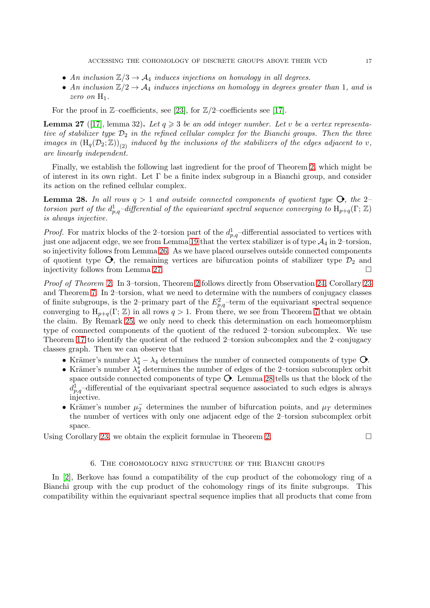- An inclusion  $\mathbb{Z}/3 \to \mathcal{A}_4$  induces injections on homology in all degrees.
- An inclusion  $\mathbb{Z}/2 \to \mathcal{A}_4$  induces injections on homology in degrees greater than 1, and is zero on  $H_1$ .

For the proof in  $\mathbb{Z}$ –coefficients, see [\[23\]](#page-18-11), for  $\mathbb{Z}/2$ –coefficients see [\[17\]](#page-18-10).

<span id="page-16-1"></span>**Lemma 27** ([\[17\]](#page-18-10), lemma 32). Let  $q \ge 3$  be an odd integer number. Let v be a vertex representative of stabilizer type  $\mathcal{D}_2$  in the refined cellular complex for the Bianchi groups. Then the three images in  $(H_q(\mathcal{D}_2;\mathbb{Z}))_{(2)}$  induced by the inclusions of the stabilizers of the edges adjacent to v, are linearly independent.

Finally, we establish the following last ingredient for the proof of Theorem [2,](#page-2-0) which might be of interest in its own right. Let  $\Gamma$  be a finite index subgroup in a Bianchi group, and consider its action on the refined cellular complex.

<span id="page-16-2"></span>**Lemma 28.** In all rows  $q > 1$  and outside connected components of quotient type  $\mathbf{O}$ , the 2– torsion part of the  $d_{p,q}^1$ -differential of the equivariant spectral sequence converging to  $H_{p+q}(\Gamma;\mathbb{Z})$ is always injective.

*Proof.* For matrix blocks of the 2-torsion part of the  $d_{p,q}^1$ -differential associated to vertices with just one adjacent edge, we see from Lemma [19](#page-13-2) that the vertex stabilizer is of type  $\mathcal{A}_4$  in 2–torsion, so injectivity follows from Lemma [26.](#page-15-1) As we have placed ourselves outside connected components of quotient type  $\mathcal{O}_2$ , the remaining vertices are bifurcation points of stabilizer type  $\mathcal{D}_2$  and injectivity follows from Lemma [27.](#page-16-1)

Proof of Theorem [2](#page-2-0). In 3–torsion, Theorem [2](#page-2-0) follows directly from Observation [24,](#page-15-2) Corollary [23](#page-15-3) and Theorem [7.](#page-5-0) In 2–torsion, what we need to determine with the numbers of conjugacy classes of finite subgroups, is the 2-primary part of the  $E_{p,q}^2$ -term of the equivariant spectral sequence converging to  $H_{p+q}(\Gamma;\mathbb{Z})$  in all rows  $q>1$ . From there, we see from Theorem [7](#page-5-0) that we obtain the claim. By Remark [25,](#page-15-4) we only need to check this determination on each homeomorphism type of connected components of the quotient of the reduced 2–torsion subcomplex. We use Theorem [17](#page-13-1) to identify the quotient of the reduced 2–torsion subcomplex and the 2–conjugacy classes graph. Then we can observe that

- Krämer's number  $\lambda_4^* \lambda_4$  determines the number of connected components of type  $\mathbf{O}$ .
- Krämer's number  $\lambda_4^*$  determines the number of edges of the 2–torsion subcomplex orbit space outside connected components of type  $\mathsf{O}.$  Lemma [28](#page-16-2) tells us that the block of the  $d_{p,q}^1$ -differential of the equivariant spectral sequence associated to such edges is always injective.
- Krämer's number  $\mu_2^-$  determines the number of bifurcation points, and  $\mu_T$  determines the number of vertices with only one adjacent edge of the 2–torsion subcomplex orbit space.

<span id="page-16-0"></span>Using Corollary [23,](#page-15-3) we obtain the explicit formulae in Theorem [2.](#page-2-0)  $\Box$ 

## 6. The cohomology ring structure of the Bianchi groups

In [\[2\]](#page-18-12), Berkove has found a compatibility of the cup product of the cohomology ring of a Bianchi group with the cup product of the cohomology rings of its finite subgroups. This compatibility within the equivariant spectral sequence implies that all products that come from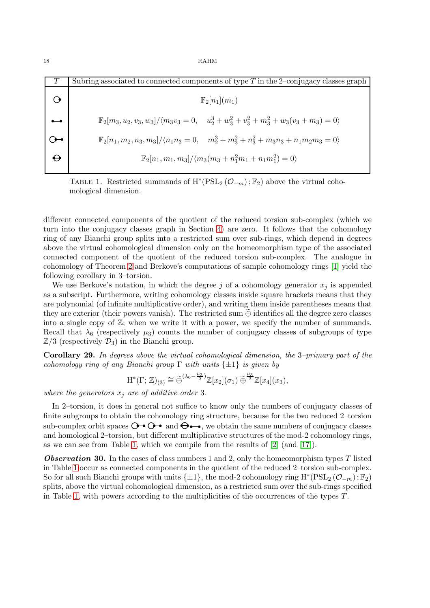<span id="page-17-0"></span>

| Subring associated to connected components of type $T$ in the 2-conjugacy classes graph                           |
|-------------------------------------------------------------------------------------------------------------------|
| $\mathbb{F}_2[n_1](m_1)$                                                                                          |
| $\mathbb{F}_2[m_3, u_2, v_3, w_3]/\langle m_3v_3 = 0, u_2^3 + w_3^2 + v_3^2 + m_3^2 + w_3(v_3 + m_3) = 0 \rangle$ |
| $\mathbb{F}_2[n_1,m_2,n_3,m_3]/\langle n_1n_3=0, \quad m_2^3+m_3^2+n_3^2+m_3n_3+n_1m_2m_3=0\rangle$               |
| $\mathbb{F}_2[n_1,m_1,m_3]/\langle m_3(m_3+n_1^2m_1+n_1m_1^2)=0\rangle$                                           |

TABLE 1. Restricted summands of  $H^*(PSL_2(\mathcal{O}_{-m}); \mathbb{F}_2)$  above the virtual cohomological dimension.

different connected components of the quotient of the reduced torsion sub-complex (which we turn into the conjugacy classes graph in Section [4\)](#page-12-0) are zero. It follows that the cohomology ring of any Bianchi group splits into a restricted sum over sub-rings, which depend in degrees above the virtual cohomological dimension only on the homeomorphism type of the associated connected component of the quotient of the reduced torsion sub-complex. The analogue in cohomology of Theorem [2](#page-2-0) and Berkove's computations of sample cohomology rings [\[1\]](#page-18-21) yield the following corollary in 3–torsion.

We use Berkove's notation, in which the degree j of a cohomology generator  $x_j$  is appended as a subscript. Furthermore, writing cohomology classes inside square brackets means that they are polynomial (of infinite multiplicative order), and writing them inside parentheses means that they are exterior (their powers vanish). The restricted sum  $\oplus$  identifies all the degree zero classes into a single copy of  $\mathbb{Z}$ ; when we write it with a power, we specify the number of summands. Recall that  $\lambda_6$  (respectively  $\mu_3$ ) counts the number of conjugacy classes of subgroups of type  $\mathbb{Z}/3$  (respectively  $\mathcal{D}_3$ ) in the Bianchi group.

Corollary 29. In degrees above the virtual cohomological dimension, the 3–primary part of the cohomology ring of any Bianchi group  $\Gamma$  with units  $\{\pm 1\}$  is given by

$$
\mathrm{H}^*(\Gamma;\,\mathbb{Z})_{(3)} \cong \widetilde{\oplus}^{(\lambda_6 - \frac{\mu_3}{2})}\mathbb{Z}[x_2](\sigma_1) \widetilde{\oplus}^{\frac{\mu_3}{2}}\mathbb{Z}[x_4](x_3),
$$

where the generators  $x_i$  are of additive order 3.

In 2–torsion, it does in general not suffice to know only the numbers of conjugacy classes of finite subgroups to obtain the cohomology ring structure, because for the two reduced 2–torsion sub-complex orbit spaces  $\ddot{\mathbf{O}}$   $\bullet$   $\ddot{\mathbf{O}}$  and  $\ddot{\mathbf{O}}$   $\bullet$ , we obtain the same numbers of conjugacy classes and homological 2–torsion, but different multiplicative structures of the mod-2 cohomology rings, as we can see from Table [1,](#page-17-0) which we compile from the results of  $[2]$  (and  $[17]$ ).

**Observation 30.** In the cases of class numbers 1 and 2, only the homeomorphism types  $T$  listed in Table [1](#page-17-0) occur as connected components in the quotient of the reduced 2–torsion sub-complex. So for all such Bianchi groups with units  $\{\pm 1\}$ , the mod-2 cohomology ring  $\mathrm{H}^*(\mathrm{PSL}_2(\mathcal{O}_{-m});\mathbb{F}_2)$ splits, above the virtual cohomological dimension, as a restricted sum over the sub-rings specified in Table [1,](#page-17-0) with powers according to the multiplicities of the occurrences of the types T.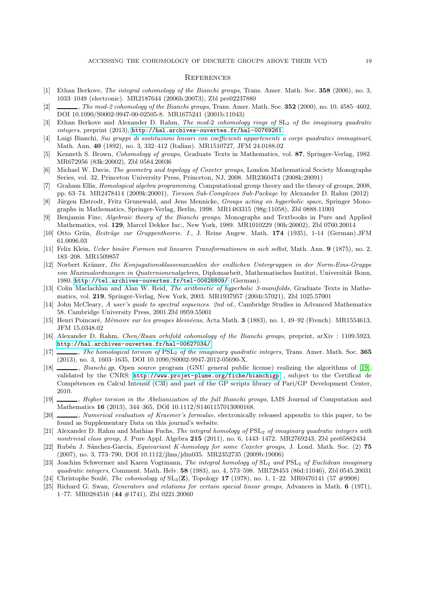### **REFERENCES**

- <span id="page-18-21"></span>[1] Ethan Berkove, *The integral cohomology of the Bianchi groups*, Trans. Amer. Math. Soc. **358** (2006), no. 3, 1033–1049 (electronic). MR2187644 (2006h:20073), Zbl pre02237880
- <span id="page-18-12"></span> $[2] \quad \underline{\hspace{1cm}}$ , The mod-2 cohomology of the Bianchi groups, Trans. Amer. Math. Soc. 352 (2000), no. 10, 4585–4602, DOI 10.1090/S0002-9947-00-02505-8. MR1675241 (2001b:11043)
- <span id="page-18-14"></span>[3] Ethan Berkove and Alexander D. Rahm, The mod-2 cohomology rings of  $SL_2$  of the imaginary quadratic integers, preprint (2013), <http://hal.archives-ouvertes.fr/hal-00769261>.
- [4] Luigi Bianchi, Sui gruppi di sostituzioni lineari con coefficienti appartenenti a corpi quadratici immaginarˆı, Math. Ann. 40 (1892), no. 3, 332–412 (Italian). MR1510727, JFM 24.0188.02
- <span id="page-18-0"></span>[5] Kenneth S. Brown, Cohomology of groups, Graduate Texts in Mathematics, vol. 87, Springer-Verlag, 1982. MR672956 (83k:20002), Zbl 0584.20036
- <span id="page-18-18"></span>[6] Michael W. Davis, The geometry and topology of Coxeter groups, London Mathematical Society Monographs Series, vol. 32, Princeton University Press, Princeton, NJ, 2008. MR2360474 (2008k:20091)
- <span id="page-18-1"></span>[7] Graham Ellis, Homological algebra programming, Computational group theory and the theory of groups, 2008, pp. 63–74. MR2478414 (2009k:20001), Torsion Sub-Complexes Sub-Package by Alexander D. Rahm (2012)
- <span id="page-18-8"></span>[8] Jürgen Elstrodt, Fritz Grunewald, and Jens Mennicke, Groups acting on hyperbolic space, Springer Monographs in Mathematics, Springer-Verlag, Berlin, 1998. MR1483315 (98g:11058), Zbl 0888.11001
- <span id="page-18-7"></span>[9] Benjamin Fine, Algebraic theory of the Bianchi groups, Monographs and Textbooks in Pure and Applied Mathematics, vol. 129, Marcel Dekker Inc., New York, 1989. MR1010229 (90h:20002), Zbl 0760.20014
- <span id="page-18-15"></span>[10] Otto Grün, Beiträge zur Gruppentheorie. I., J. Reine Angew. Math. 174 (1935), 1-14 (German).JFM 61.0096.03
- <span id="page-18-19"></span>[11] Felix Klein, Ueber binäre Formen mit linearen Transformationen in sich selbst, Math. Ann. 9 (1875), no. 2, 183–208. MR1509857
- <span id="page-18-9"></span>[12] Norbert Krämer, Die Konjugationsklassenanzahlen der endlichen Untergruppen in der Norm-Eins-Gruppe von Maximalordnungen in Quaternionenalgebren, Diplomarbeit, Mathematisches Institut, Universität Bonn, 1980. <http://tel.archives-ouvertes.fr/tel-00628809/> (German).
- <span id="page-18-6"></span>[13] Colin Maclachlan and Alan W. Reid, The arithmetic of hyperbolic 3-manifolds, Graduate Texts in Mathematics, vol. 219, Springer-Verlag, New York, 2003. MR1937957 (2004i:57021), Zbl 1025.57001
- <span id="page-18-16"></span>[14] John McCleary, A user's guide to spectral sequences. 2nd ed., Cambridge Studies in Advanced Mathematics 58. Cambridge University Press, 2001.Zbl 0959.55001
- <span id="page-18-5"></span>[15] Henri Poincaré, Mémoire sur les groupes kleinéens, Acta Math. 3 (1883), no. 1, 49–92 (French). MR1554613, JFM 15.0348.02
- <span id="page-18-13"></span>[16] Alexander D. Rahm, Chen/Ruan orbifold cohomology of the Bianchi groups, preprint, arXiv : 1109.5923, <http://hal.archives-ouvertes.fr/hal-00627034/>.
- <span id="page-18-10"></span>[17] , The homological torsion of  $PSL<sub>2</sub>$  of the imaginary quadratic integers, Trans. Amer. Math. Soc. 365 (2013), no. 3, 1603–1635, DOI 10.1090/S0002-9947-2012-05690-X.
- <span id="page-18-20"></span>[18] , Bianchi.gp, Open source program (GNU general public license) realizing the algorithms of [\[19\]](#page-18-3), validated by the CNRS: <http://www.projet-plume.org/fiche/bianchigp> , subject to the Certificat de Compétences en Calcul Intensif (C3I) and part of the GP scripts library of Pari/GP Development Center, 2010.
- <span id="page-18-3"></span>[19]  $\_\_\_\_\$  Higher torsion in the Abelianization of the full Bianchi groups, LMS Journal of Computation and Mathematics 16 (2013), 344–365, DOI 10.1112/S1461157013000168.
- <span id="page-18-4"></span>[20] , Numerical evaluation of Kraemer's formulae, electronically released appendix to this paper, to be found as Supplementary Data on this journal's website.
- [21] Alexander D. Rahm and Mathias Fuchs, The integral homology of PSL<sub>2</sub> of imaginary quadratic integers with nontrivial class group, J. Pure Appl. Algebra 215 (2011), no. 6, 1443–1472. MR2769243, Zbl pre05882434
- <span id="page-18-17"></span>[22] Rubén J. Sánchez-García, Equivariant K-homology for some Coxeter groups, J. Lond. Math. Soc. (2) 75 (2007), no. 3, 773–790, DOI 10.1112/jlms/jdm035. MR2352735 (2009b:19006)
- <span id="page-18-11"></span>[23] Joachim Schwermer and Karen Vogtmann, The integral homology of SL<sub>2</sub> and PSL<sub>2</sub> of Euclidean imaginary quadratic integers, Comment. Math. Helv. 58 (1983), no. 4, 573–598. MR728453 (86d:11046), Zbl 0545.20031
- <span id="page-18-2"></span>[24] Christophe Soulé, *The cohomology of*  $SL_3(\mathbb{Z})$ , Topology 17 (1978), no. 1, 1–22. MR0470141 (57 #9908)
- [25] Richard G. Swan, Generators and relations for certain special linear groups, Advances in Math. 6 (1971), 1–77. MR0284516 (44 #1741), Zbl 0221.20060